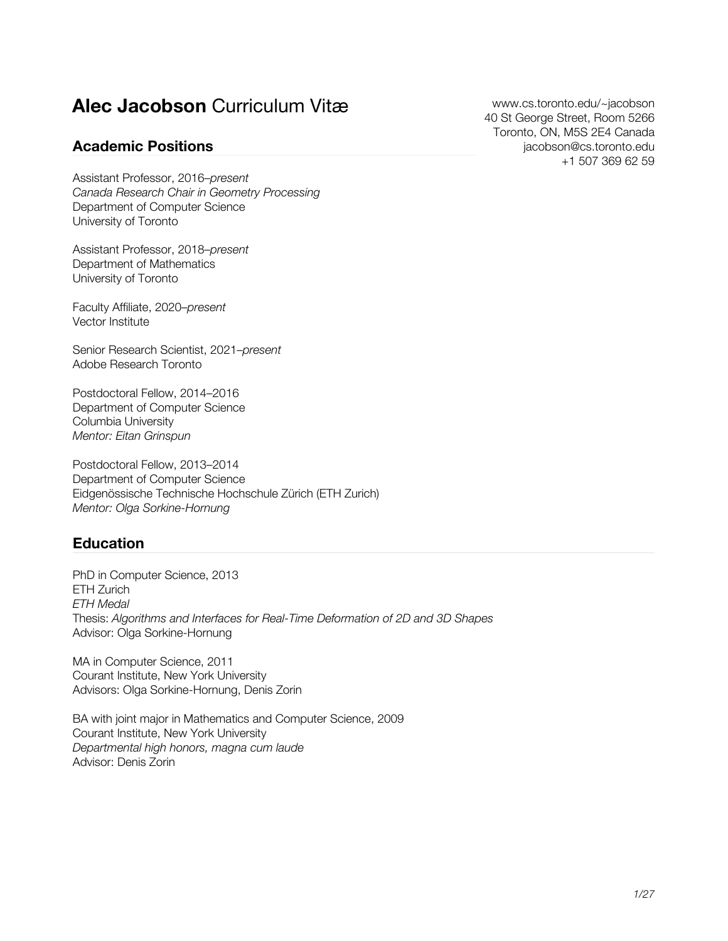# **Alec Jacobson** Curriculum Vitæ

### **Academic Positions**

[www.cs.toronto.edu/~jacobson](http://www.cs.toronto.edu/~jacobson) 40 St George Street, Room 5266 Toronto, ON, M5S 2E4 Canada [jacobson@cs.toronto.edu](mailto:jacobson@cs.toronto.edu) [+1 507 369 62 59](tel:+1-507-369-6259)

Assistant Professor, 2016–*present Canada Research Chair in Geometry Processing* Department of Computer Science University of Toronto

Assistant Professor, 2018–*present* Department of Mathematics University of Toronto

Faculty Affiliate, 2020–*present* Vector Institute

Senior Research Scientist, 2021–*present* Adobe Research Toronto

Postdoctoral Fellow, 2014–2016 Department of Computer Science Columbia University *Mentor: Eitan Grinspun*

Postdoctoral Fellow, 2013–2014 Department of Computer Science Eidgenössische Technische Hochschule Zürich (ETH Zurich) *Mentor: Olga Sorkine-Hornung*

### **Education**

PhD in Computer Science, 2013 ETH Zurich *ETH Medal* Thesis: *Algorithms and Interfaces for Real-Time Deformation of 2D and 3D Shapes* Advisor: Olga Sorkine-Hornung

MA in Computer Science, 2011 Courant Institute, New York University Advisors: Olga Sorkine-Hornung, Denis Zorin

BA with joint major in Mathematics and Computer Science, 2009 Courant Institute, New York University *Departmental high honors, magna cum laude* Advisor: Denis Zorin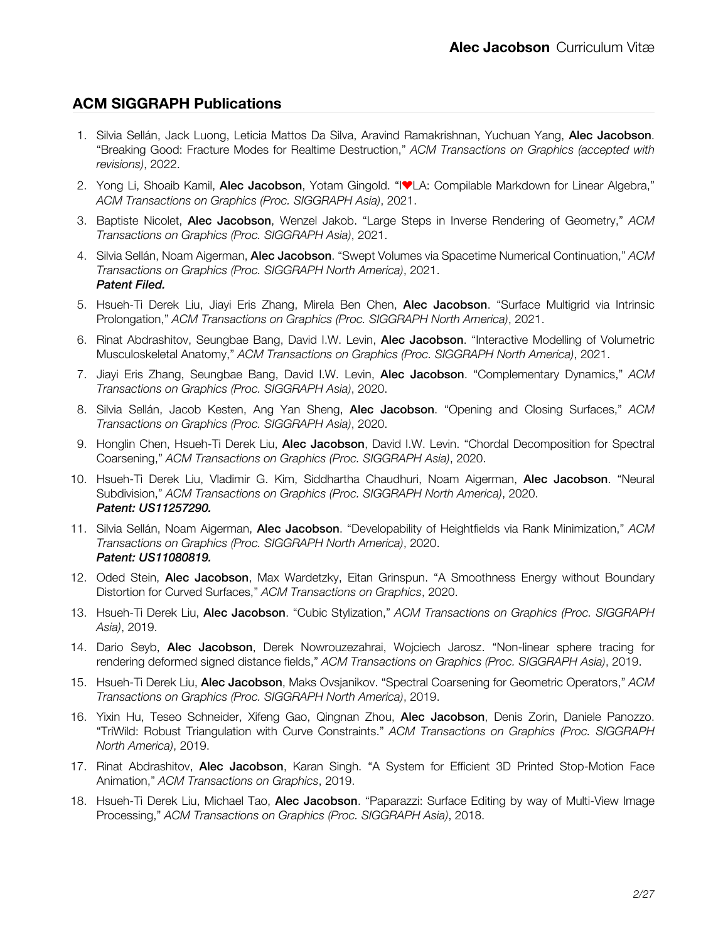### **ACM SIGGRAPH Publications**

- 1. Silvia Sellán, Jack Luong, Leticia Mattos Da Silva, Aravind Ramakrishnan, Yuchuan Yang, Alec Jacobson. "Breaking Good: Fracture Modes for Realtime Destruction," *ACM Transactions on Graphics (accepted with revisions)*, 2022.
- 2. Yong Li, Shoaib Kamil, Alec Jacobson, Yotam Gingold. "IVLA: Compilable Markdown for Linear Algebra," *ACM Transactions on Graphics (Proc. SIGGRAPH Asia)*, 2021.
- 3. Baptiste Nicolet, Alec Jacobson, Wenzel Jakob. "Large Steps in Inverse Rendering of Geometry," *ACM Transactions on Graphics (Proc. SIGGRAPH Asia)*, 2021.
- 4. Silvia Sellán, Noam Aigerman, Alec Jacobson. "Swept Volumes via Spacetime Numerical Continuation," *ACM Transactions on Graphics (Proc. SIGGRAPH North America)*, 2021. *Patent Filed.*
- 5. Hsueh-Ti Derek Liu, Jiayi Eris Zhang, Mirela Ben Chen, Alec Jacobson. "Surface Multigrid via Intrinsic Prolongation," *ACM Transactions on Graphics (Proc. SIGGRAPH North America)*, 2021.
- 6. Rinat Abdrashitov, Seungbae Bang, David I.W. Levin, Alec Jacobson. "Interactive Modelling of Volumetric Musculoskeletal Anatomy," *ACM Transactions on Graphics (Proc. SIGGRAPH North America)*, 2021.
- 7. Jiayi Eris Zhang, Seungbae Bang, David I.W. Levin, Alec Jacobson. "Complementary Dynamics," *ACM Transactions on Graphics (Proc. SIGGRAPH Asia)*, 2020.
- 8. Silvia Sellán, Jacob Kesten, Ang Yan Sheng, Alec Jacobson. "Opening and Closing Surfaces," *ACM Transactions on Graphics (Proc. SIGGRAPH Asia)*, 2020.
- 9. Honglin Chen, Hsueh-Ti Derek Liu, Alec Jacobson, David I.W. Levin. "Chordal Decomposition for Spectral Coarsening," *ACM Transactions on Graphics (Proc. SIGGRAPH Asia)*, 2020.
- 10. Hsueh-Ti Derek Liu, Vladimir G. Kim, Siddhartha Chaudhuri, Noam Aigerman, Alec Jacobson. "Neural Subdivision," *ACM Transactions on Graphics (Proc. SIGGRAPH North America)*, 2020. *Patent: US11257290.*
- 11. Silvia Sellán, Noam Aigerman, Alec Jacobson. "Developability of Heightfields via Rank Minimization," *ACM Transactions on Graphics (Proc. SIGGRAPH North America)*, 2020. *Patent: US11080819.*
- 12. Oded Stein, Alec Jacobson, Max Wardetzky, Eitan Grinspun. "A Smoothness Energy without Boundary Distortion for Curved Surfaces," *ACM Transactions on Graphics*, 2020.
- 13. Hsueh-Ti Derek Liu, Alec Jacobson. "Cubic Stylization," *ACM Transactions on Graphics (Proc. SIGGRAPH Asia)*, 2019.
- 14. Dario Seyb, Alec Jacobson, Derek Nowrouzezahrai, Wojciech Jarosz. "Non-linear sphere tracing for rendering deformed signed distance fields," *ACM Transactions on Graphics (Proc. SIGGRAPH Asia)*, 2019.
- 15. Hsueh-Ti Derek Liu, Alec Jacobson, Maks Ovsjanikov. "Spectral Coarsening for Geometric Operators," *ACM Transactions on Graphics (Proc. SIGGRAPH North America)*, 2019.
- 16. Yixin Hu, Teseo Schneider, Xifeng Gao, Qingnan Zhou, Alec Jacobson, Denis Zorin, Daniele Panozzo. "TriWild: Robust Triangulation with Curve Constraints." *ACM Transactions on Graphics (Proc. SIGGRAPH North America)*, 2019.
- 17. Rinat Abdrashitov, Alec Jacobson, Karan Singh. "A System for Efficient 3D Printed Stop-Motion Face Animation," *ACM Transactions on Graphics*, 2019.
- 18. Hsueh-Ti Derek Liu, Michael Tao, Alec Jacobson. "Paparazzi: Surface Editing by way of Multi-View Image Processing," *ACM Transactions on Graphics (Proc. SIGGRAPH Asia)*, 2018.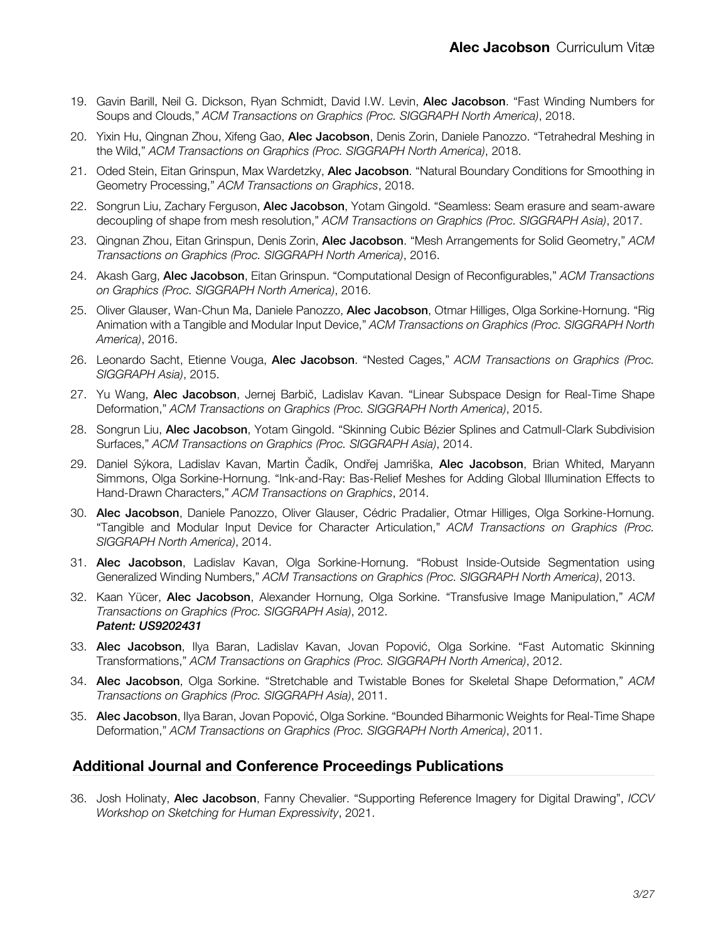- 19. Gavin Barill, Neil G. Dickson, Ryan Schmidt, David I.W. Levin, Alec Jacobson. "Fast Winding Numbers for Soups and Clouds," *ACM Transactions on Graphics (Proc. SIGGRAPH North America)*, 2018.
- 20. Yixin Hu, Qingnan Zhou, Xifeng Gao, Alec Jacobson, Denis Zorin, Daniele Panozzo. "Tetrahedral Meshing in the Wild," *ACM Transactions on Graphics (Proc. SIGGRAPH North America)*, 2018.
- 21. Oded Stein, Eitan Grinspun, Max Wardetzky, Alec Jacobson. "Natural Boundary Conditions for Smoothing in Geometry Processing," *ACM Transactions on Graphics*, 2018.
- 22. Songrun Liu, Zachary Ferguson, Alec Jacobson, Yotam Gingold. "Seamless: Seam erasure and seam-aware decoupling of shape from mesh resolution," *ACM Transactions on Graphics (Proc. SIGGRAPH Asia)*, 2017.
- 23. Qingnan Zhou, Eitan Grinspun, Denis Zorin, Alec Jacobson. "Mesh Arrangements for Solid Geometry," *ACM Transactions on Graphics (Proc. SIGGRAPH North America)*, 2016.
- 24. Akash Garg, Alec Jacobson, Eitan Grinspun. "Computational Design of Reconfigurables," *ACM Transactions on Graphics (Proc. SIGGRAPH North America)*, 2016.
- 25. Oliver Glauser, Wan-Chun Ma, Daniele Panozzo, Alec Jacobson, Otmar Hilliges, Olga Sorkine-Hornung. "Rig Animation with a Tangible and Modular Input Device," *ACM Transactions on Graphics (Proc. SIGGRAPH North America)*, 2016.
- 26. Leonardo Sacht, Etienne Vouga, Alec Jacobson. "Nested Cages," *ACM Transactions on Graphics (Proc. SIGGRAPH Asia)*, 2015.
- 27. Yu Wang, Alec Jacobson, Jernej Barbič, Ladislav Kavan. "Linear Subspace Design for Real-Time Shape Deformation," *ACM Transactions on Graphics (Proc. SIGGRAPH North America)*, 2015.
- 28. Songrun Liu, Alec Jacobson, Yotam Gingold. "Skinning Cubic Bézier Splines and Catmull-Clark Subdivision Surfaces," *ACM Transactions on Graphics (Proc. SIGGRAPH Asia)*, 2014.
- 29. Daniel Sýkora, Ladislav Kavan, Martin Čadík, Ondřej Jamriška, Alec Jacobson, Brian Whited, Maryann Simmons, Olga Sorkine-Hornung. "Ink-and-Ray: Bas-Relief Meshes for Adding Global Illumination Effects to Hand-Drawn Characters," *ACM Transactions on Graphics*, 2014.
- 30. Alec Jacobson, Daniele Panozzo, Oliver Glauser, Cédric Pradalier, Otmar Hilliges, Olga Sorkine-Hornung. "Tangible and Modular Input Device for Character Articulation," *ACM Transactions on Graphics (Proc. SIGGRAPH North America)*, 2014.
- 31. Alec Jacobson, Ladislav Kavan, Olga Sorkine-Hornung. "Robust Inside-Outside Segmentation using Generalized Winding Numbers," *ACM Transactions on Graphics (Proc. SIGGRAPH North America)*, 2013.
- 32. Kaan Yücer, Alec Jacobson, Alexander Hornung, Olga Sorkine. "Transfusive Image Manipulation," *ACM Transactions on Graphics (Proc. SIGGRAPH Asia)*, 2012. *Patent: US9202431*
- 33. Alec Jacobson, Ilya Baran, Ladislav Kavan, Jovan Popović, Olga Sorkine. "Fast Automatic Skinning Transformations," *ACM Transactions on Graphics (Proc. SIGGRAPH North America)*, 2012.
- 34. Alec Jacobson, Olga Sorkine. "Stretchable and Twistable Bones for Skeletal Shape Deformation," *ACM Transactions on Graphics (Proc. SIGGRAPH Asia)*, 2011.
- 35. **Alec Jacobson**, Ilya Baran, Jovan Popović, Olga Sorkine. "Bounded Biharmonic Weights for Real-Time Shape Deformation," *ACM Transactions on Graphics (Proc. SIGGRAPH North America)*, 2011.

#### **Additional Journal and Conference Proceedings Publications**

36. Josh Holinaty, Alec Jacobson, Fanny Chevalier. "Supporting Reference Imagery for Digital Drawing", *ICCV Workshop on Sketching for Human Expressivity*, 2021.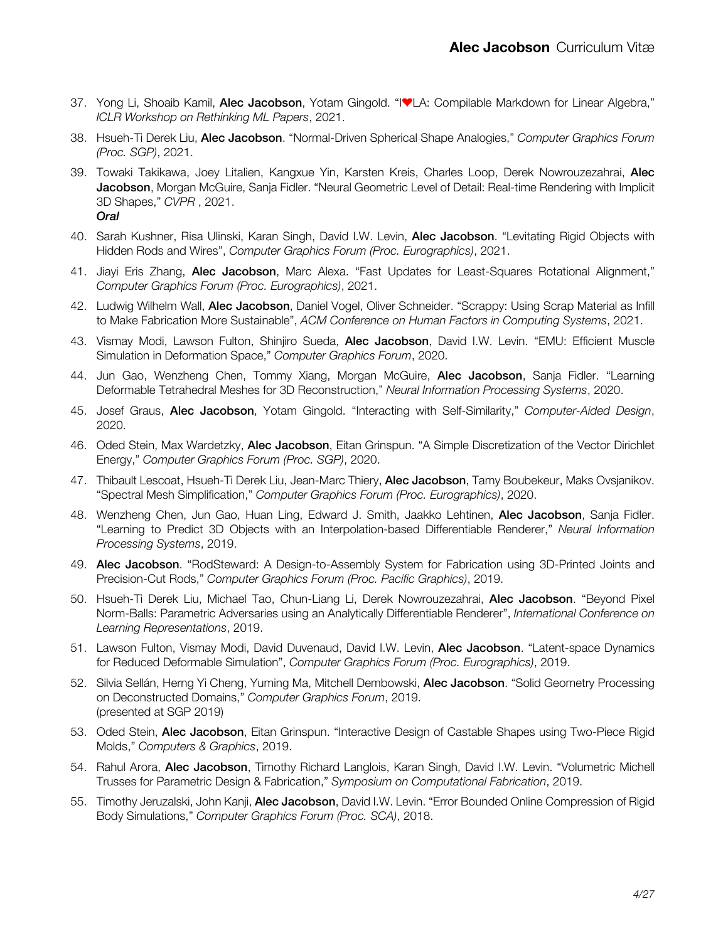- 37. Yong Li, Shoaib Kamil, Alec Jacobson, Yotam Gingold. "I♥LA: Compilable Markdown for Linear Algebra," *ICLR Workshop on Rethinking ML Papers*, 2021.
- 38. Hsueh-Ti Derek Liu, Alec Jacobson. "Normal-Driven Spherical Shape Analogies," *Computer Graphics Forum (Proc. SGP)*, 2021.
- 39. Towaki Takikawa, Joey Litalien, Kangxue Yin, Karsten Kreis, Charles Loop, Derek Nowrouzezahrai, Alec Jacobson, Morgan McGuire, Sanja Fidler. "Neural Geometric Level of Detail: Real-time Rendering with Implicit 3D Shapes," *CVPR* , 2021. *Oral*
- 40. Sarah Kushner, Risa Ulinski, Karan Singh, David I.W. Levin, Alec Jacobson. "Levitating Rigid Objects with Hidden Rods and Wires", *Computer Graphics Forum (Proc. Eurographics)*, 2021.
- 41. Jiayi Eris Zhang, Alec Jacobson, Marc Alexa. "Fast Updates for Least-Squares Rotational Alignment," *Computer Graphics Forum (Proc. Eurographics)*, 2021.
- 42. Ludwig Wilhelm Wall, Alec Jacobson, Daniel Vogel, Oliver Schneider. "Scrappy: Using Scrap Material as Infill to Make Fabrication More Sustainable", *ACM Conference on Human Factors in Computing Systems*, 2021.
- 43. Vismay Modi, Lawson Fulton, Shinjiro Sueda, Alec Jacobson, David I.W. Levin. "EMU: Efficient Muscle Simulation in Deformation Space," *Computer Graphics Forum*, 2020.
- 44. Jun Gao, Wenzheng Chen, Tommy Xiang, Morgan McGuire, Alec Jacobson, Sanja Fidler. "Learning Deformable Tetrahedral Meshes for 3D Reconstruction," *Neural Information Processing Systems*, 2020.
- 45. Josef Graus, Alec Jacobson, Yotam Gingold. "Interacting with Self-Similarity," *Computer-Aided Design*, 2020.
- 46. Oded Stein, Max Wardetzky, Alec Jacobson, Eitan Grinspun. "A Simple Discretization of the Vector Dirichlet Energy," *Computer Graphics Forum (Proc. SGP)*, 2020.
- 47. Thibault Lescoat, Hsueh-Ti Derek Liu, Jean-Marc Thiery, Alec Jacobson, Tamy Boubekeur, Maks Ovsjanikov. "Spectral Mesh Simplification," *Computer Graphics Forum (Proc. Eurographics)*, 2020.
- 48. Wenzheng Chen, Jun Gao, Huan Ling, Edward J. Smith, Jaakko Lehtinen, Alec Jacobson, Sanja Fidler. "Learning to Predict 3D Objects with an Interpolation-based Differentiable Renderer," *Neural Information Processing Systems*, 2019.
- 49. **Alec Jacobson**. "RodSteward: A Design-to-Assembly System for Fabrication using 3D-Printed Joints and Precision-Cut Rods," *Computer Graphics Forum (Proc. Pacific Graphics)*, 2019.
- 50. Hsueh-Ti Derek Liu, Michael Tao, Chun-Liang Li, Derek Nowrouzezahrai, Alec Jacobson. "Beyond Pixel Norm-Balls: Parametric Adversaries using an Analytically Differentiable Renderer", *International Conference on Learning Representations*, 2019.
- 51. Lawson Fulton, Vismay Modi, David Duvenaud, David I.W. Levin, Alec Jacobson. "Latent-space Dynamics for Reduced Deformable Simulation", *Computer Graphics Forum (Proc. Eurographics)*, 2019.
- 52. Silvia Sellán, Herng Yi Cheng, Yuming Ma, Mitchell Dembowski, Alec Jacobson. "Solid Geometry Processing on Deconstructed Domains," *Computer Graphics Forum*, 2019. (presented at SGP 2019)
- 53. Oded Stein, Alec Jacobson, Eitan Grinspun. "Interactive Design of Castable Shapes using Two-Piece Rigid Molds," *Computers & Graphics*, 2019.
- 54. Rahul Arora, Alec Jacobson, Timothy Richard Langlois, Karan Singh, David I.W. Levin. "Volumetric Michell Trusses for Parametric Design & Fabrication," *Symposium on Computational Fabrication*, 2019.
- 55. Timothy Jeruzalski, John Kanji, Alec Jacobson, David I.W. Levin. "Error Bounded Online Compression of Rigid Body Simulations," *Computer Graphics Forum (Proc. SCA)*, 2018.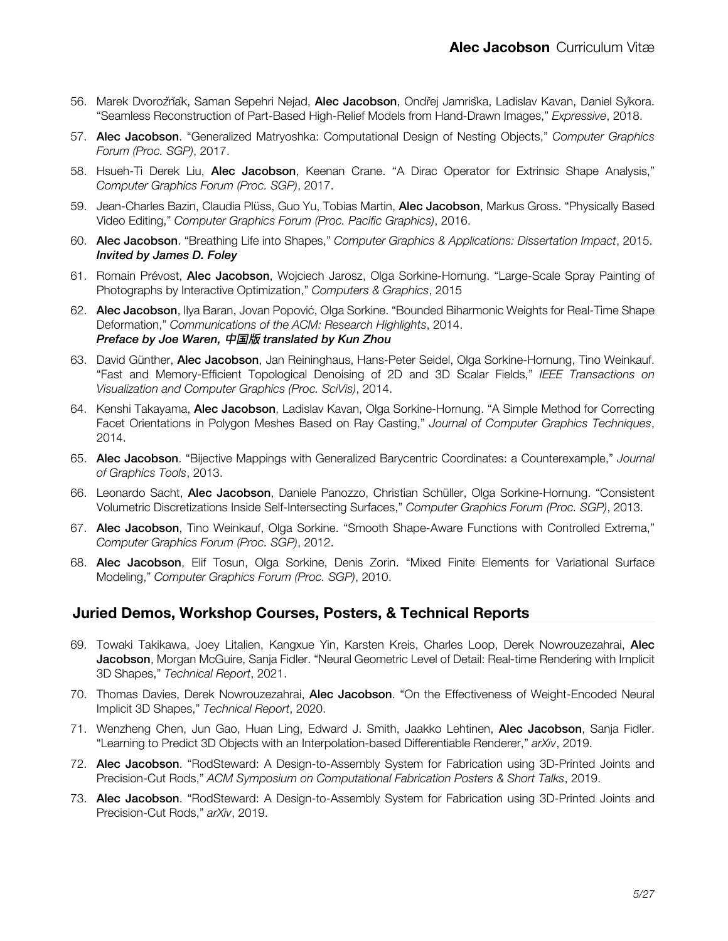- 56. Marek Dvorožňák, Saman Sepehri Nejad, Alec Jacobson, Ondřej Jamriška, Ladislav Kavan, Daniel Sykora. "Seamless Reconstruction of Part-Based High-Relief Models from Hand-Drawn Images," *Expressive*, 2018.
- 57. Alec Jacobson. "Generalized Matryoshka: Computational Design of Nesting Objects," *Computer Graphics Forum (Proc. SGP)*, 2017.
- 58. Hsueh-Ti Derek Liu, Alec Jacobson, Keenan Crane. "A Dirac Operator for Extrinsic Shape Analysis," *Computer Graphics Forum (Proc. SGP)*, 2017.
- 59. Jean-Charles Bazin, Claudia Plüss, Guo Yu, Tobias Martin, Alec Jacobson, Markus Gross. "Physically Based Video Editing," *Computer Graphics Forum (Proc. Pacific Graphics)*, 2016.
- 60. Alec Jacobson. "Breathing Life into Shapes," *Computer Graphics & Applications: Dissertation Impact*, 2015. *Invited by James D. Foley*
- 61. Romain Prévost, **Alec Jacobson**, Wojciech Jarosz, Olga Sorkine-Hornung. "Large-Scale Spray Painting of Photographs by Interactive Optimization," *Computers & Graphics*, 2015
- 62. Alec Jacobson, Ilya Baran, Jovan Popović, Olga Sorkine. "Bounded Biharmonic Weights for Real-Time Shape Deformation," *Communications of the ACM: Research Highlights*, 2014. *Preface by Joe Waren,* 中国版 *translated by Kun Zhou*
- 63. David Günther, Alec Jacobson, Jan Reininghaus, Hans-Peter Seidel, Olga Sorkine-Hornung, Tino Weinkauf. "Fast and Memory-Efficient Topological Denoising of 2D and 3D Scalar Fields," *IEEE Transactions on Visualization and Computer Graphics (Proc. SciVis)*, 2014.
- 64. Kenshi Takayama, **Alec Jacobson**, Ladislav Kavan, Olga Sorkine-Hornung. "A Simple Method for Correcting Facet Orientations in Polygon Meshes Based on Ray Casting," *Journal of Computer Graphics Techniques*, 2014.
- 65. Alec Jacobson. "Bijective Mappings with Generalized Barycentric Coordinates: a Counterexample," *Journal of Graphics Tools*, 2013.
- 66. Leonardo Sacht, Alec Jacobson, Daniele Panozzo, Christian Schüller, Olga Sorkine-Hornung. "Consistent Volumetric Discretizations Inside Self-Intersecting Surfaces," *Computer Graphics Forum (Proc. SGP)*, 2013.
- 67. Alec Jacobson, Tino Weinkauf, Olga Sorkine. "Smooth Shape-Aware Functions with Controlled Extrema," *Computer Graphics Forum (Proc. SGP)*, 2012.
- 68. Alec Jacobson, Elif Tosun, Olga Sorkine, Denis Zorin. "Mixed Finite Elements for Variational Surface Modeling," *Computer Graphics Forum (Proc. SGP)*, 2010.

### **Juried Demos, Workshop Courses, Posters, & Technical Reports**

- 69. Towaki Takikawa, Joey Litalien, Kangxue Yin, Karsten Kreis, Charles Loop, Derek Nowrouzezahrai, Alec Jacobson, Morgan McGuire, Sanja Fidler. "Neural Geometric Level of Detail: Real-time Rendering with Implicit 3D Shapes," *Technical Report*, 2021.
- 70. Thomas Davies, Derek Nowrouzezahrai, Alec Jacobson. "On the Effectiveness of Weight-Encoded Neural Implicit 3D Shapes," *Technical Report*, 2020.
- 71. Wenzheng Chen, Jun Gao, Huan Ling, Edward J. Smith, Jaakko Lehtinen, Alec Jacobson, Sanja Fidler. "Learning to Predict 3D Objects with an Interpolation-based Differentiable Renderer," *arXiv*, 2019.
- 72. Alec Jacobson. "RodSteward: A Design-to-Assembly System for Fabrication using 3D-Printed Joints and Precision-Cut Rods," *ACM Symposium on Computational Fabrication Posters & Short Talks*, 2019.
- 73. Alec Jacobson. "RodSteward: A Design-to-Assembly System for Fabrication using 3D-Printed Joints and Precision-Cut Rods," *arXiv*, 2019.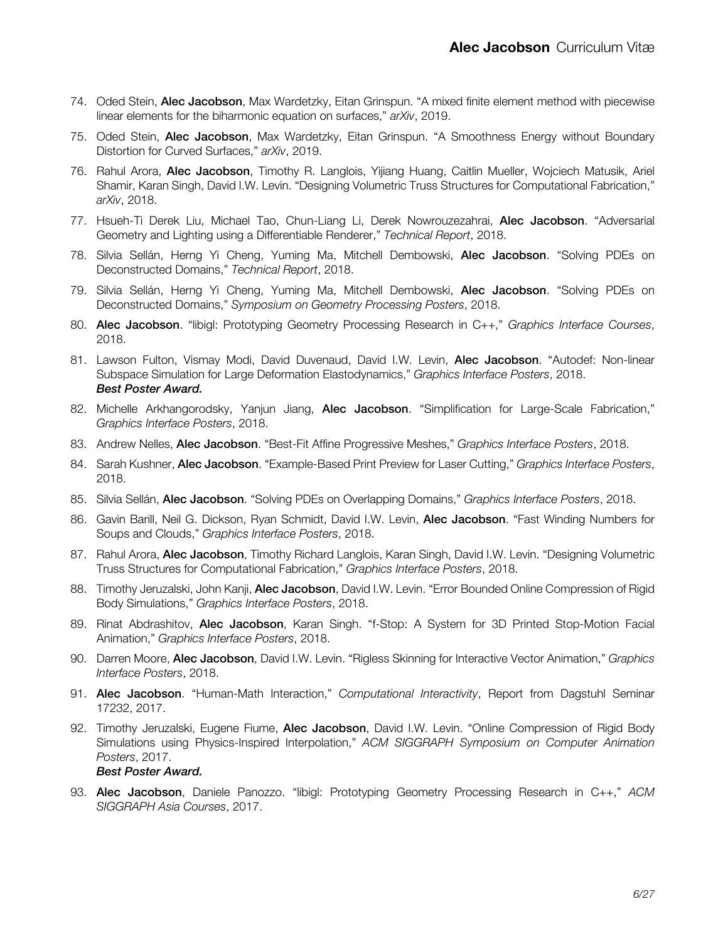- 74. Oded Stein, Alec Jacobson, Max Wardetzky, Eitan Grinspun. "A mixed finite element method with piecewise linear elements for the biharmonic equation on surfaces," *arXiv*, 2019.
- 75. Oded Stein, Alec Jacobson, Max Wardetzky, Eitan Grinspun. "A Smoothness Energy without Boundary Distortion for Curved Surfaces," *arXiv*, 2019.
- 76. Rahul Arora, Alec Jacobson, Timothy R. Langlois, Yijiang Huang, Caitlin Mueller, Wojciech Matusik, Ariel Shamir, Karan Singh, David I.W. Levin. "Designing Volumetric Truss Structures for Computational Fabrication," *arXiv*, 2018.
- 77. Hsueh-Ti Derek Liu, Michael Tao, Chun-Liang Li, Derek Nowrouzezahrai, Alec Jacobson. "Adversarial Geometry and Lighting using a Differentiable Renderer," *Technical Report*, 2018.
- 78. Silvia Sellán, Herng Yi Cheng, Yuming Ma, Mitchell Dembowski, Alec Jacobson. "Solving PDEs on Deconstructed Domains," *Technical Report*, 2018.
- 79. Silvia Sellán, Herng Yi Cheng, Yuming Ma, Mitchell Dembowski, Alec Jacobson. "Solving PDEs on Deconstructed Domains," *Symposium on Geometry Processing Posters*, 2018.
- 80. Alec Jacobson. "libigl: Prototyping Geometry Processing Research in C++," *Graphics Interface Courses*, 2018.
- 81. Lawson Fulton, Vismay Modi, David Duvenaud, David I.W. Levin, Alec Jacobson. "Autodef: Non-linear Subspace Simulation for Large Deformation Elastodynamics," *Graphics Interface Posters*, 2018. *Best Poster Award.*
- 82. Michelle Arkhangorodsky, Yanjun Jiang, Alec Jacobson. "Simplification for Large-Scale Fabrication," *Graphics Interface Posters*, 2018.
- 83. Andrew Nelles, Alec Jacobson. "Best-Fit Affine Progressive Meshes," *Graphics Interface Posters*, 2018.
- 84. Sarah Kushner, Alec Jacobson. "Example-Based Print Preview for Laser Cutting," *Graphics Interface Posters*, 2018.
- 85. Silvia Sellán, Alec Jacobson. "Solving PDEs on Overlapping Domains," *Graphics Interface Posters*, 2018.
- 86. Gavin Barill, Neil G. Dickson, Ryan Schmidt, David I.W. Levin, Alec Jacobson. "Fast Winding Numbers for Soups and Clouds," *Graphics Interface Posters*, 2018.
- 87. Rahul Arora, Alec Jacobson, Timothy Richard Langlois, Karan Singh, David I.W. Levin. "Designing Volumetric Truss Structures for Computational Fabrication," *Graphics Interface Posters*, 2018.
- 88. Timothy Jeruzalski, John Kanji, Alec Jacobson, David I.W. Levin. "Error Bounded Online Compression of Rigid Body Simulations," *Graphics Interface Posters*, 2018.
- 89. Rinat Abdrashitov, Alec Jacobson, Karan Singh. "f-Stop: A System for 3D Printed Stop-Motion Facial Animation," *Graphics Interface Posters*, 2018.
- 90. Darren Moore, Alec Jacobson, David I.W. Levin. "Rigless Skinning for Interactive Vector Animation," *Graphics Interface Posters*, 2018.
- 91. Alec Jacobson. "Human-Math Interaction," *Computational Interactivity*, Report from Dagstuhl Seminar 17232, 2017.
- 92. Timothy Jeruzalski, Eugene Fiume, Alec Jacobson, David I.W. Levin. "Online Compression of Rigid Body Simulations using Physics-Inspired Interpolation," *ACM SIGGRAPH Symposium on Computer Animation Posters*, 2017. *Best Poster Award.*
- 93. Alec Jacobson, Daniele Panozzo. "libigl: Prototyping Geometry Processing Research in C++," *ACM SIGGRAPH Asia Courses*, 2017.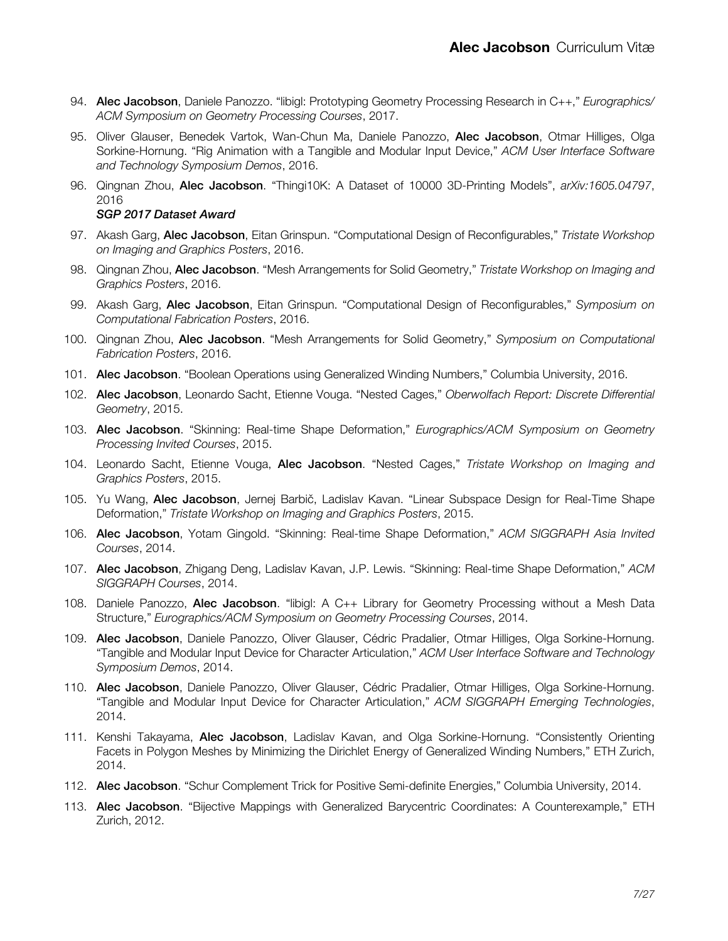- 94. Alec Jacobson, Daniele Panozzo. "libigl: Prototyping Geometry Processing Research in C++," *Eurographics/ ACM Symposium on Geometry Processing Courses*, 2017.
- 95. Oliver Glauser, Benedek Vartok, Wan-Chun Ma, Daniele Panozzo, Alec Jacobson, Otmar Hilliges, Olga Sorkine-Hornung. "Rig Animation with a Tangible and Modular Input Device," *ACM User Interface Software and Technology Symposium Demos*, 2016.
- 96. Qingnan Zhou, Alec Jacobson. "Thingi10K: A Dataset of 10000 3D-Printing Models", *arXiv:1605.04797*, 2016

#### *SGP 2017 Dataset Award*

- 97. Akash Garg, Alec Jacobson, Eitan Grinspun. "Computational Design of Reconfigurables," *Tristate Workshop on Imaging and Graphics Posters*, 2016.
- 98. Qingnan Zhou, Alec Jacobson. "Mesh Arrangements for Solid Geometry," *Tristate Workshop on Imaging and Graphics Posters*, 2016.
- 99. Akash Garg, Alec Jacobson, Eitan Grinspun. "Computational Design of Reconfigurables," *Symposium on Computational Fabrication Posters*, 2016.
- 100. Qingnan Zhou, Alec Jacobson. "Mesh Arrangements for Solid Geometry," *Symposium on Computational Fabrication Posters*, 2016.
- 101. Alec Jacobson. "Boolean Operations using Generalized Winding Numbers," Columbia University, 2016.
- 102. Alec Jacobson, Leonardo Sacht, Etienne Vouga. "Nested Cages," *Oberwolfach Report: Discrete Differential Geometry*, 2015.
- 103. Alec Jacobson. "Skinning: Real-time Shape Deformation," *Eurographics/ACM Symposium on Geometry Processing Invited Courses*, 2015.
- 104. Leonardo Sacht, Etienne Vouga, Alec Jacobson. "Nested Cages," *Tristate Workshop on Imaging and Graphics Posters*, 2015.
- 105. Yu Wang, Alec Jacobson, Jernej Barbič, Ladislav Kavan. "Linear Subspace Design for Real-Time Shape Deformation," *Tristate Workshop on Imaging and Graphics Posters*, 2015.
- 106. Alec Jacobson, Yotam Gingold. "Skinning: Real-time Shape Deformation," *ACM SIGGRAPH Asia Invited Courses*, 2014.
- 107. Alec Jacobson, Zhigang Deng, Ladislav Kavan, J.P. Lewis. "Skinning: Real-time Shape Deformation," *ACM SIGGRAPH Courses*, 2014.
- 108. Daniele Panozzo, Alec Jacobson. "libigl: A C++ Library for Geometry Processing without a Mesh Data Structure," *Eurographics/ACM Symposium on Geometry Processing Courses*, 2014.
- 109. Alec Jacobson, Daniele Panozzo, Oliver Glauser, Cédric Pradalier, Otmar Hilliges, Olga Sorkine-Hornung. "Tangible and Modular Input Device for Character Articulation," *ACM User Interface Software and Technology Symposium Demos*, 2014.
- 110. Alec Jacobson, Daniele Panozzo, Oliver Glauser, Cédric Pradalier, Otmar Hilliges, Olga Sorkine-Hornung. "Tangible and Modular Input Device for Character Articulation," *ACM SIGGRAPH Emerging Technologies*, 2014.
- 111. Kenshi Takayama, Alec Jacobson, Ladislav Kavan, and Olga Sorkine-Hornung. "Consistently Orienting Facets in Polygon Meshes by Minimizing the Dirichlet Energy of Generalized Winding Numbers," ETH Zurich, 2014.
- 112. Alec Jacobson. "Schur Complement Trick for Positive Semi-definite Energies," Columbia University, 2014.
- 113. Alec Jacobson. "Bijective Mappings with Generalized Barycentric Coordinates: A Counterexample," ETH Zurich, 2012.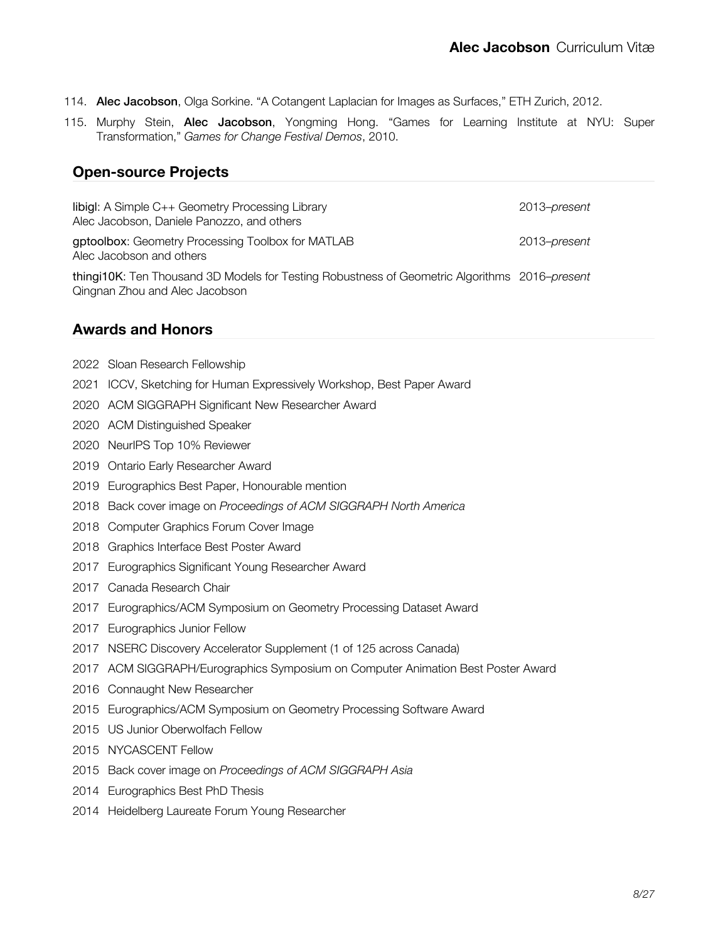- 114. Alec Jacobson, Olga Sorkine. "A Cotangent Laplacian for Images as Surfaces," ETH Zurich, 2012.
- 115. Murphy Stein, Alec Jacobson, Yongming Hong. "Games for Learning Institute at NYU: Super Transformation," *Games for Change Festival Demos*, 2010.

### **Open-source Projects**

| libigl: A Simple C++ Geometry Processing Library<br>Alec Jacobson, Daniele Panozzo, and others | 2013–present |
|------------------------------------------------------------------------------------------------|--------------|
| gptoolbox: Geometry Processing Toolbox for MATLAB<br>Alec Jacobson and others                  | 2013–present |
| thingi10K: Ten Thousand 3D Models for Testing Robustness of Geometric Algorithms 2016–present  |              |

**Awards and Honors**

[Sloan Research Fellowship](https://sloan.org/fellowships/2022-Fellows)

Qingnan Zhou and Alec Jacobson

- ICCV, Sketching for Human Expressively Workshop, Best Paper Award
- [ACM SIGGRAPH Significant New Researcher Award](https://www.siggraph.org/2020-significant-new-researcher-award-alec-jacobson/)
- [ACM Distinguished Speaker](https://speakers.acm.org/speakers/jacobson_13451)
- NeurIPS Top 10% Reviewer
- Ontario Early Researcher Award
- Eurographics Best Paper, Honourable mention
- Back cover image on *Proceedings of ACM SIGGRAPH North America*
- [Computer Graphics Forum](http://vcg.isti.cnr.it/cgf/winner.php) Cover Image
- Graphics Interface Best Poster Award
- [Eurographics Significant Young Researcher Award](https://www.eg.org/wp/the-young-researcher-award/)
- [Canada Research Chair](http://www.chairs-chaires.gc.ca/media-medias/lists-listes/2017/october-octobre-eng.aspx)
- [Eurographics/ACM Symposium on Geometry Processing Dataset Award](http://awards.geometryprocessing.org/)
- Eurographics Junior Fellow
- NSERC Discovery Accelerator Supplement (1 of 125 across Canada)
- ACM SIGGRAPH/Eurographics Symposium on Computer Animation Best Poster Award
- [Connaught New Researcher](https://www.utoronto.ca/news/56-rising-u-t-research-stars-awarded-connaught-new-researcher-awards)
- [Eurographics/ACM Symposium on Geometry Processing Software Award](http://awards.geometryprocessing.org/)
- US Junior Oberwolfach Fellow
- NYCASCENT Fellow
- Back cover image on *Proceedings of ACM SIGGRAPH Asia*
- [Eurographics Best PhD Thesis](https://www.eg.org/wp/phd-award/)
- Heidelberg Laureate Forum Young Researcher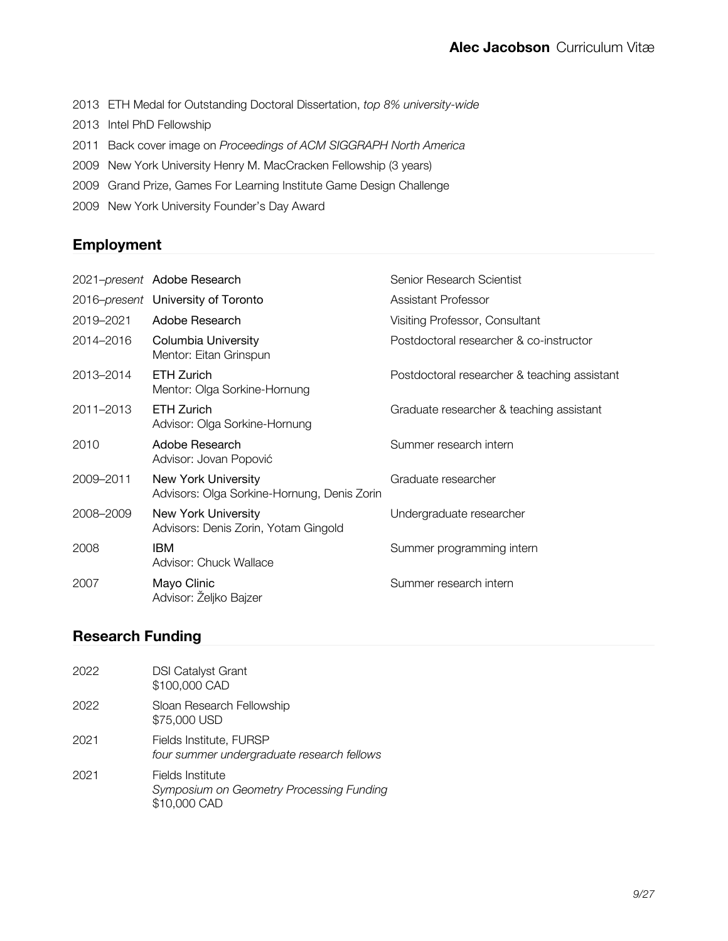- 2013 ETH Medal for Outstanding Doctoral Dissertation, *top 8% university-wide*
- 2013 Intel PhD Fellowship
- 2011 Back cover image on *Proceedings of ACM SIGGRAPH North America*
- 2009 New York University Henry M. MacCracken Fellowship (3 years)
- 2009 Grand Prize, Games For Learning Institute Game Design Challenge
- 2009 New York University Founder's Day Award

### **Employment**

|           | 2021-present Adobe Research                                               | Senior Research Scientist                    |
|-----------|---------------------------------------------------------------------------|----------------------------------------------|
|           | 2016-present University of Toronto                                        | Assistant Professor                          |
| 2019-2021 | Adobe Research                                                            | Visiting Professor, Consultant               |
| 2014-2016 | Columbia University<br>Mentor: Eitan Grinspun                             | Postdoctoral researcher & co-instructor      |
| 2013-2014 | <b>ETH Zurich</b><br>Mentor: Olga Sorkine-Hornung                         | Postdoctoral researcher & teaching assistant |
| 2011-2013 | <b>ETH Zurich</b><br>Advisor: Olga Sorkine-Hornung                        | Graduate researcher & teaching assistant     |
| 2010      | Adobe Research<br>Advisor: Jovan Popović                                  | Summer research intern                       |
| 2009-2011 | <b>New York University</b><br>Advisors: Olga Sorkine-Hornung, Denis Zorin | Graduate researcher                          |
| 2008-2009 | New York University<br>Advisors: Denis Zorin, Yotam Gingold               | Undergraduate researcher                     |
| 2008      | <b>IBM</b><br>Advisor: Chuck Wallace                                      | Summer programming intern                    |
| 2007      | Mayo Clinic<br>Advisor: Željko Bajzer                                     | Summer research intern                       |

### **Research Funding**

| 2022 | <b>DSI Catalyst Grant</b><br>\$100,000 CAD                                   |
|------|------------------------------------------------------------------------------|
| 2022 | Sloan Research Fellowship<br>\$75,000 USD                                    |
| 2021 | Fields Institute, FURSP<br>four summer undergraduate research fellows        |
| 2021 | Fields Institute<br>Symposium on Geometry Processing Funding<br>\$10,000 CAD |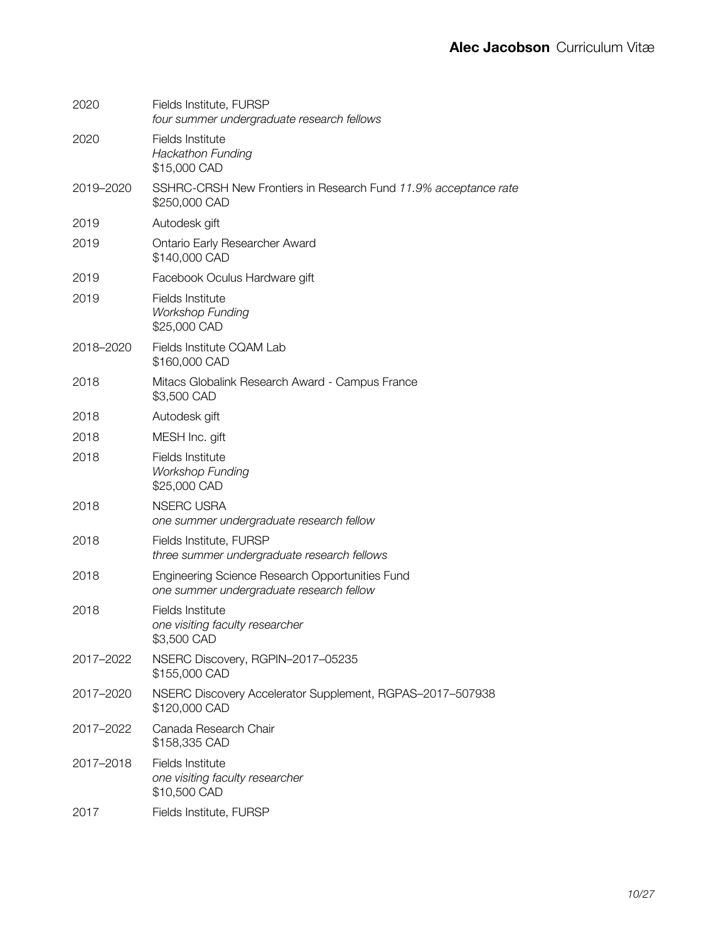| 2020      | Fields Institute, FURSP<br>four summer undergraduate research fellows                       |
|-----------|---------------------------------------------------------------------------------------------|
| 2020      | Fields Institute<br><b>Hackathon Funding</b><br>\$15,000 CAD                                |
| 2019-2020 | SSHRC-CRSH New Frontiers in Research Fund 11.9% acceptance rate<br>\$250,000 CAD            |
| 2019      | Autodesk gift                                                                               |
| 2019      | Ontario Early Researcher Award<br>\$140,000 CAD                                             |
| 2019      | Facebook Oculus Hardware gift                                                               |
| 2019      | Fields Institute<br><b>Workshop Funding</b><br>\$25,000 CAD                                 |
| 2018-2020 | Fields Institute CQAM Lab<br>\$160,000 CAD                                                  |
| 2018      | Mitacs Globalink Research Award - Campus France<br>\$3,500 CAD                              |
| 2018      | Autodesk gift                                                                               |
| 2018      | MESH Inc. gift                                                                              |
| 2018      | Fields Institute<br><b>Workshop Funding</b><br>\$25,000 CAD                                 |
| 2018      | <b>NSERC USRA</b><br>one summer undergraduate research fellow                               |
| 2018      | Fields Institute, FURSP<br>three summer undergraduate research fellows                      |
| 2018      | Engineering Science Research Opportunities Fund<br>one summer undergraduate research fellow |
| 2018      | Fields Institute<br>one visiting faculty researcher<br>\$3,500 CAD                          |
| 2017-2022 | NSERC Discovery, RGPIN-2017-05235<br>\$155,000 CAD                                          |
| 2017-2020 | NSERC Discovery Accelerator Supplement, RGPAS-2017-507938<br>\$120,000 CAD                  |
| 2017-2022 | Canada Research Chair<br>\$158,335 CAD                                                      |
| 2017-2018 | Fields Institute<br>one visiting faculty researcher<br>\$10,500 CAD                         |
| 2017      | Fields Institute, FURSP                                                                     |
|           |                                                                                             |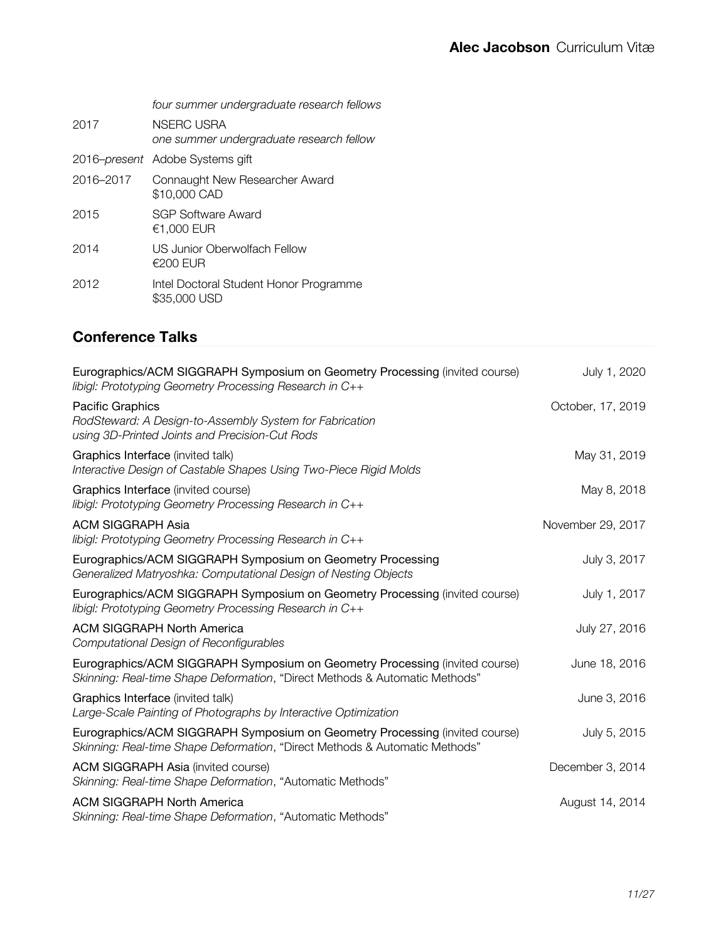|           | four summer undergraduate research fellows                    |
|-----------|---------------------------------------------------------------|
| 2017      | <b>NSERC USRA</b><br>one summer undergraduate research fellow |
|           | 2016-present Adobe Systems gift                               |
| 2016-2017 | Connaught New Researcher Award<br>\$10,000 CAD                |
| 2015      | SGP Software Award<br>€1.000 EUR                              |
| 2014      | US Junior Oberwolfach Fellow<br>€200 EUR                      |
| 2012      | Intel Doctoral Student Honor Programme<br>\$35,000 USD        |

## **Conference Talks**

| Eurographics/ACM SIGGRAPH Symposium on Geometry Processing (invited course)<br>libigl: Prototyping Geometry Processing Research in C++                     | July 1, 2020      |
|------------------------------------------------------------------------------------------------------------------------------------------------------------|-------------------|
| Pacific Graphics<br>RodSteward: A Design-to-Assembly System for Fabrication<br>using 3D-Printed Joints and Precision-Cut Rods                              | October, 17, 2019 |
| Graphics Interface (invited talk)<br>Interactive Design of Castable Shapes Using Two-Piece Rigid Molds                                                     | May 31, 2019      |
| Graphics Interface (invited course)<br>libigl: Prototyping Geometry Processing Research in C++                                                             | May 8, 2018       |
| <b>ACM SIGGRAPH Asia</b><br>libigl: Prototyping Geometry Processing Research in C++                                                                        | November 29, 2017 |
| Eurographics/ACM SIGGRAPH Symposium on Geometry Processing<br>Generalized Matryoshka: Computational Design of Nesting Objects                              | July 3, 2017      |
| Eurographics/ACM SIGGRAPH Symposium on Geometry Processing (invited course)<br>libigl: Prototyping Geometry Processing Research in C++                     | July 1, 2017      |
| <b>ACM SIGGRAPH North America</b><br>Computational Design of Reconfigurables                                                                               | July 27, 2016     |
| Eurographics/ACM SIGGRAPH Symposium on Geometry Processing (invited course)<br>Skinning: Real-time Shape Deformation, "Direct Methods & Automatic Methods" | June 18, 2016     |
| Graphics Interface (invited talk)<br>Large-Scale Painting of Photographs by Interactive Optimization                                                       | June 3, 2016      |
| Eurographics/ACM SIGGRAPH Symposium on Geometry Processing (invited course)<br>Skinning: Real-time Shape Deformation, "Direct Methods & Automatic Methods" | July 5, 2015      |
| <b>ACM SIGGRAPH Asia (invited course)</b><br>Skinning: Real-time Shape Deformation, "Automatic Methods"                                                    | December 3, 2014  |
| <b>ACM SIGGRAPH North America</b><br>Skinning: Real-time Shape Deformation, "Automatic Methods"                                                            | August 14, 2014   |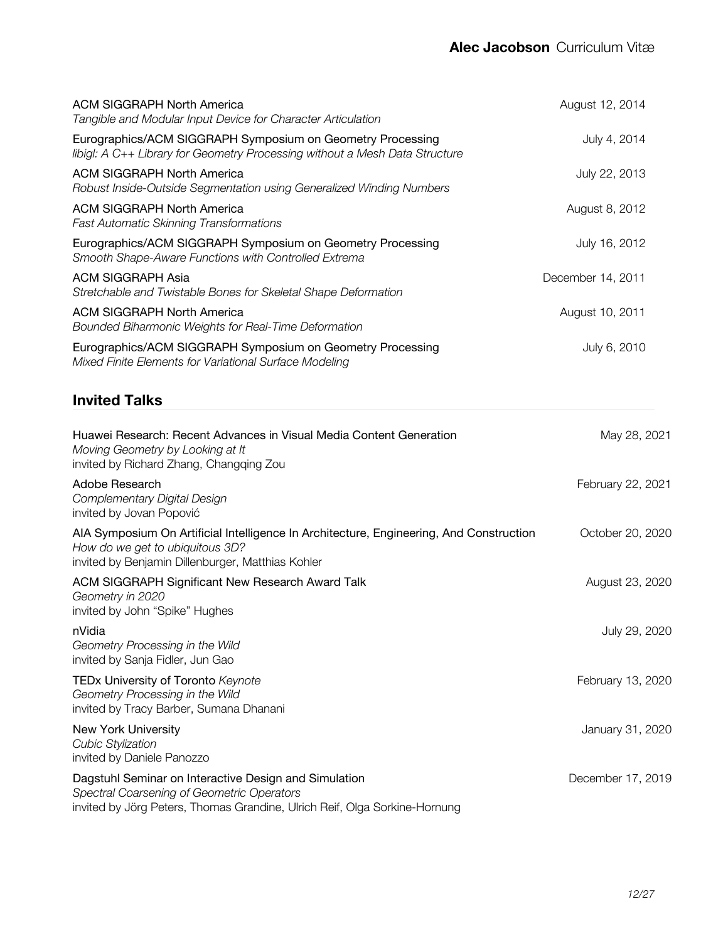| <b>ACM SIGGRAPH North America</b><br>Tangible and Modular Input Device for Character Articulation                                                                                 | August 12, 2014   |
|-----------------------------------------------------------------------------------------------------------------------------------------------------------------------------------|-------------------|
| Eurographics/ACM SIGGRAPH Symposium on Geometry Processing<br>libigl: A C++ Library for Geometry Processing without a Mesh Data Structure                                         | July 4, 2014      |
| <b>ACM SIGGRAPH North America</b><br>Robust Inside-Outside Segmentation using Generalized Winding Numbers                                                                         | July 22, 2013     |
| <b>ACM SIGGRAPH North America</b><br><b>Fast Automatic Skinning Transformations</b>                                                                                               | August 8, 2012    |
| Eurographics/ACM SIGGRAPH Symposium on Geometry Processing<br>Smooth Shape-Aware Functions with Controlled Extrema                                                                | July 16, 2012     |
| <b>ACM SIGGRAPH Asia</b><br>Stretchable and Twistable Bones for Skeletal Shape Deformation                                                                                        | December 14, 2011 |
| <b>ACM SIGGRAPH North America</b><br>Bounded Biharmonic Weights for Real-Time Deformation                                                                                         | August 10, 2011   |
| Eurographics/ACM SIGGRAPH Symposium on Geometry Processing<br>Mixed Finite Elements for Variational Surface Modeling                                                              | July 6, 2010      |
| <b>Invited Talks</b>                                                                                                                                                              |                   |
| Huawei Research: Recent Advances in Visual Media Content Generation<br>Moving Geometry by Looking at It<br>invited by Richard Zhang, Changqing Zou                                | May 28, 2021      |
| Adobe Research<br>Complementary Digital Design<br>invited by Jovan Popović                                                                                                        | February 22, 2021 |
| AIA Symposium On Artificial Intelligence In Architecture, Engineering, And Construction<br>How do we get to ubiquitous 3D?<br>invited by Benjamin Dillenburger, Matthias Kohler   | October 20, 2020  |
| ACM SIGGRAPH Significant New Research Award Talk<br>Geometry in 2020<br>invited by John "Spike" Hughes                                                                            | August 23, 2020   |
| nVidia<br>Geometry Processing in the Wild<br>invited by Sanja Fidler, Jun Gao                                                                                                     | July 29, 2020     |
| TEDx University of Toronto Keynote<br>Geometry Processing in the Wild<br>invited by Tracy Barber, Sumana Dhanani                                                                  | February 13, 2020 |
| New York University<br><b>Cubic Stylization</b><br>invited by Daniele Panozzo                                                                                                     | January 31, 2020  |
| Dagstuhl Seminar on Interactive Design and Simulation<br>Spectral Coarsening of Geometric Operators<br>invited by Jörg Peters, Thomas Grandine, Ulrich Reif, Olga Sorkine-Hornung | December 17, 2019 |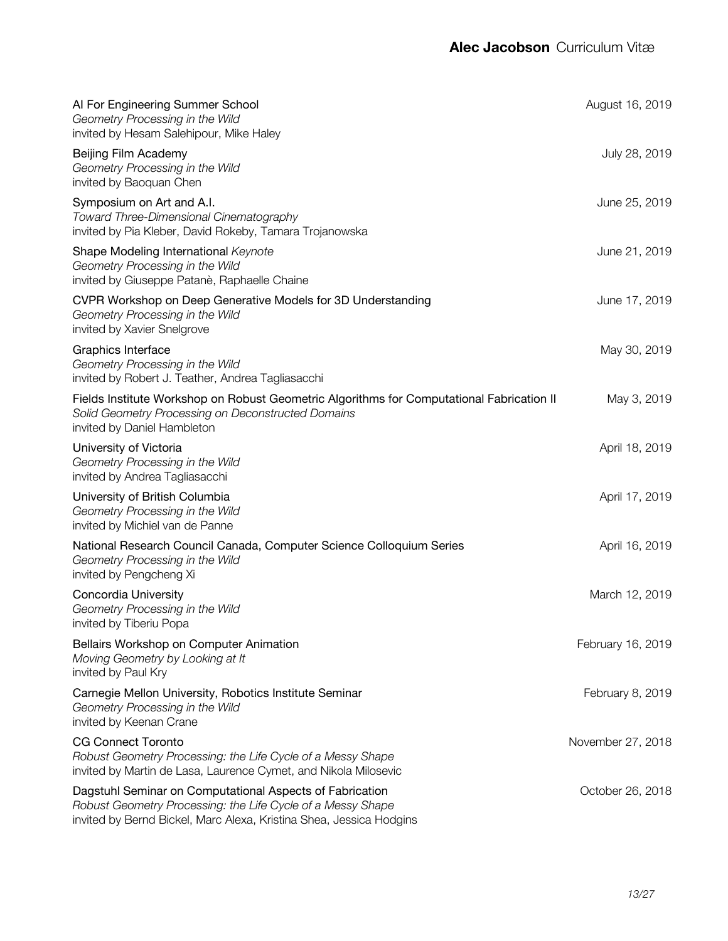| Al For Engineering Summer School<br>Geometry Processing in the Wild<br>invited by Hesam Salehipour, Mike Haley                                                                                 | August 16, 2019   |
|------------------------------------------------------------------------------------------------------------------------------------------------------------------------------------------------|-------------------|
| Beijing Film Academy<br>Geometry Processing in the Wild<br>invited by Baoquan Chen                                                                                                             | July 28, 2019     |
| Symposium on Art and A.I.<br><b>Toward Three-Dimensional Cinematography</b><br>invited by Pia Kleber, David Rokeby, Tamara Trojanowska                                                         | June 25, 2019     |
| Shape Modeling International Keynote<br>Geometry Processing in the Wild<br>invited by Giuseppe Patanè, Raphaelle Chaine                                                                        | June 21, 2019     |
| CVPR Workshop on Deep Generative Models for 3D Understanding<br>Geometry Processing in the Wild<br>invited by Xavier Snelgrove                                                                 | June 17, 2019     |
| Graphics Interface<br>Geometry Processing in the Wild<br>invited by Robert J. Teather, Andrea Tagliasacchi                                                                                     | May 30, 2019      |
| Fields Institute Workshop on Robust Geometric Algorithms for Computational Fabrication II<br>Solid Geometry Processing on Deconstructed Domains<br>invited by Daniel Hambleton                 | May 3, 2019       |
| University of Victoria<br>Geometry Processing in the Wild<br>invited by Andrea Tagliasacchi                                                                                                    | April 18, 2019    |
| University of British Columbia<br>Geometry Processing in the Wild<br>invited by Michiel van de Panne                                                                                           | April 17, 2019    |
| National Research Council Canada, Computer Science Colloquium Series<br>Geometry Processing in the Wild<br>invited by Pengcheng Xi                                                             | April 16, 2019    |
| Concordia University<br>Geometry Processing in the Wild<br>invited by Tiberiu Popa                                                                                                             | March 12, 2019    |
| Bellairs Workshop on Computer Animation<br>Moving Geometry by Looking at It<br>invited by Paul Kry                                                                                             | February 16, 2019 |
| Carnegie Mellon University, Robotics Institute Seminar<br>Geometry Processing in the Wild<br>invited by Keenan Crane                                                                           | February 8, 2019  |
| <b>CG Connect Toronto</b><br>Robust Geometry Processing: the Life Cycle of a Messy Shape<br>invited by Martin de Lasa, Laurence Cymet, and Nikola Milosevic                                    | November 27, 2018 |
| Dagstuhl Seminar on Computational Aspects of Fabrication<br>Robust Geometry Processing: the Life Cycle of a Messy Shape<br>invited by Bernd Bickel, Marc Alexa, Kristina Shea, Jessica Hodgins | October 26, 2018  |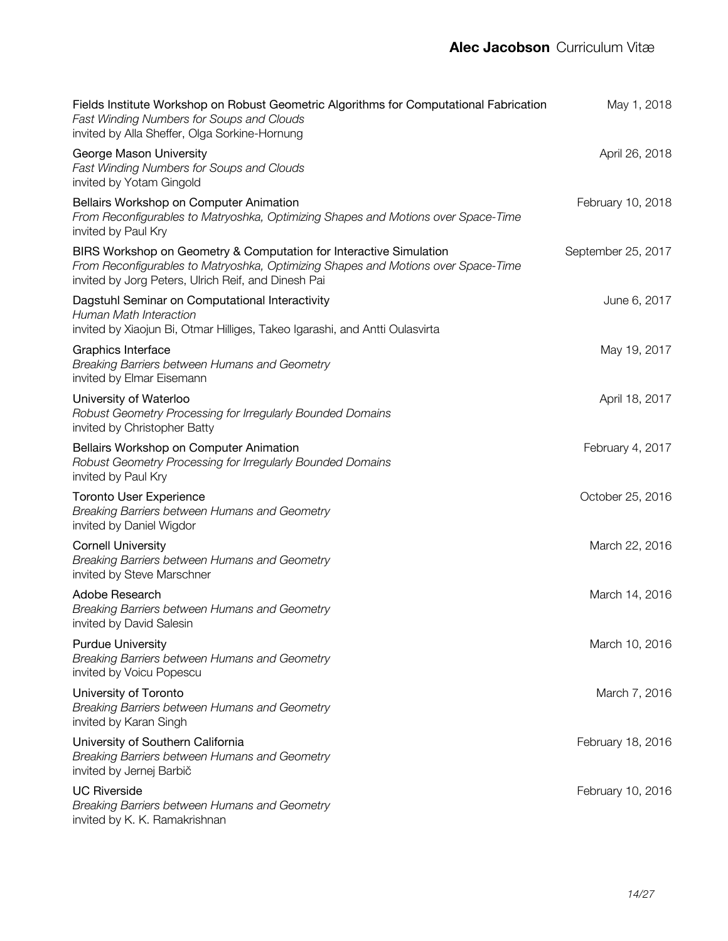| Fields Institute Workshop on Robust Geometric Algorithms for Computational Fabrication<br>Fast Winding Numbers for Soups and Clouds<br>invited by Alla Sheffer, Olga Sorkine-Hornung                           | May 1, 2018        |
|----------------------------------------------------------------------------------------------------------------------------------------------------------------------------------------------------------------|--------------------|
| George Mason University<br>Fast Winding Numbers for Soups and Clouds<br>invited by Yotam Gingold                                                                                                               | April 26, 2018     |
| Bellairs Workshop on Computer Animation<br>From Reconfigurables to Matryoshka, Optimizing Shapes and Motions over Space-Time<br>invited by Paul Kry                                                            | February 10, 2018  |
| BIRS Workshop on Geometry & Computation for Interactive Simulation<br>From Reconfigurables to Matryoshka, Optimizing Shapes and Motions over Space-Time<br>invited by Jorg Peters, Ulrich Reif, and Dinesh Pai | September 25, 2017 |
| Dagstuhl Seminar on Computational Interactivity<br><b>Human Math Interaction</b><br>invited by Xiaojun Bi, Otmar Hilliges, Takeo Igarashi, and Antti Oulasvirta                                                | June 6, 2017       |
| Graphics Interface<br>Breaking Barriers between Humans and Geometry<br>invited by Elmar Eisemann                                                                                                               | May 19, 2017       |
| University of Waterloo<br>Robust Geometry Processing for Irregularly Bounded Domains<br>invited by Christopher Batty                                                                                           | April 18, 2017     |
| Bellairs Workshop on Computer Animation<br>Robust Geometry Processing for Irregularly Bounded Domains<br>invited by Paul Kry                                                                                   | February 4, 2017   |
| <b>Toronto User Experience</b><br>Breaking Barriers between Humans and Geometry<br>invited by Daniel Wigdor                                                                                                    | October 25, 2016   |
| <b>Cornell University</b><br>Breaking Barriers between Humans and Geometry<br>invited by Steve Marschner                                                                                                       | March 22, 2016     |
| Adobe Research<br>Breaking Barriers between Humans and Geometry<br>invited by David Salesin                                                                                                                    | March 14, 2016     |
| <b>Purdue University</b><br>Breaking Barriers between Humans and Geometry<br>invited by Voicu Popescu                                                                                                          | March 10, 2016     |
| University of Toronto<br>Breaking Barriers between Humans and Geometry<br>invited by Karan Singh                                                                                                               | March 7, 2016      |
| University of Southern California<br>Breaking Barriers between Humans and Geometry<br>invited by Jernej Barbič                                                                                                 | February 18, 2016  |
| <b>UC Riverside</b><br>Breaking Barriers between Humans and Geometry<br>invited by K. K. Ramakrishnan                                                                                                          | February 10, 2016  |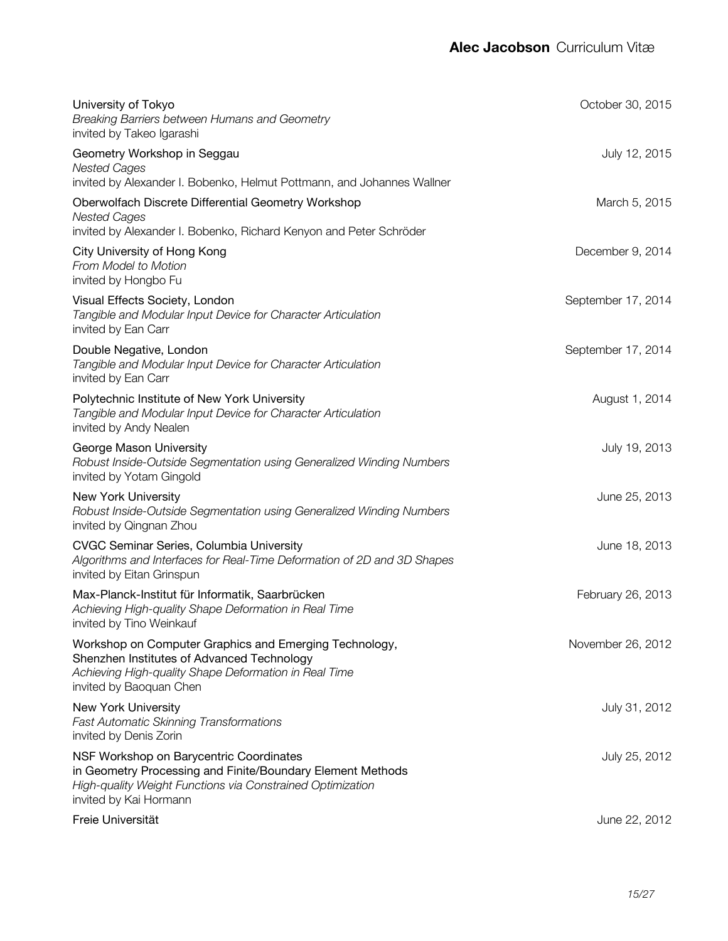| University of Tokyo<br>Breaking Barriers between Humans and Geometry<br>invited by Takeo Igarashi                                                                                             | October 30, 2015   |
|-----------------------------------------------------------------------------------------------------------------------------------------------------------------------------------------------|--------------------|
| Geometry Workshop in Seggau<br><b>Nested Cages</b><br>invited by Alexander I. Bobenko, Helmut Pottmann, and Johannes Wallner                                                                  | July 12, 2015      |
| Oberwolfach Discrete Differential Geometry Workshop<br><b>Nested Cages</b><br>invited by Alexander I. Bobenko, Richard Kenyon and Peter Schröder                                              | March 5, 2015      |
| City University of Hong Kong<br>From Model to Motion<br>invited by Hongbo Fu                                                                                                                  | December 9, 2014   |
| Visual Effects Society, London<br>Tangible and Modular Input Device for Character Articulation<br>invited by Ean Carr                                                                         | September 17, 2014 |
| Double Negative, London<br>Tangible and Modular Input Device for Character Articulation<br>invited by Ean Carr                                                                                | September 17, 2014 |
| Polytechnic Institute of New York University<br>Tangible and Modular Input Device for Character Articulation<br>invited by Andy Nealen                                                        | August 1, 2014     |
| George Mason University<br>Robust Inside-Outside Segmentation using Generalized Winding Numbers<br>invited by Yotam Gingold                                                                   | July 19, 2013      |
| <b>New York University</b><br>Robust Inside-Outside Segmentation using Generalized Winding Numbers<br>invited by Qingnan Zhou                                                                 | June 25, 2013      |
| <b>CVGC Seminar Series, Columbia University</b><br>Algorithms and Interfaces for Real-Time Deformation of 2D and 3D Shapes<br>invited by Eitan Grinspun                                       | June 18, 2013      |
| Max-Planck-Institut für Informatik, Saarbrücken<br>Achieving High-quality Shape Deformation in Real Time<br>invited by Tino Weinkauf                                                          | February 26, 2013  |
| Workshop on Computer Graphics and Emerging Technology,<br>Shenzhen Institutes of Advanced Technology<br>Achieving High-quality Shape Deformation in Real Time<br>invited by Baoquan Chen      | November 26, 2012  |
| New York University<br><b>Fast Automatic Skinning Transformations</b><br>invited by Denis Zorin                                                                                               | July 31, 2012      |
| NSF Workshop on Barycentric Coordinates<br>in Geometry Processing and Finite/Boundary Element Methods<br>High-quality Weight Functions via Constrained Optimization<br>invited by Kai Hormann | July 25, 2012      |
| Freie Universität                                                                                                                                                                             | June 22, 2012      |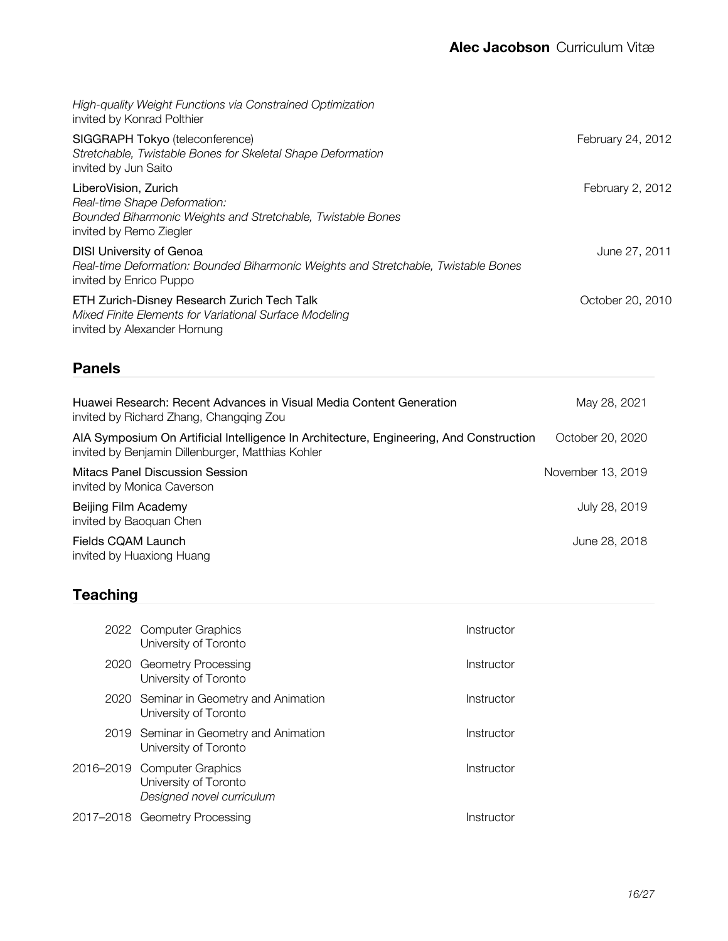| High-quality Weight Functions via Constrained Optimization<br>invited by Konrad Polthier                                                         |                   |
|--------------------------------------------------------------------------------------------------------------------------------------------------|-------------------|
| SIGGRAPH Tokyo (teleconference)<br>Stretchable, Twistable Bones for Skeletal Shape Deformation<br>invited by Jun Saito                           | February 24, 2012 |
| LiberoVision, Zurich<br>Real-time Shape Deformation:<br>Bounded Biharmonic Weights and Stretchable, Twistable Bones<br>invited by Remo Ziegler   | February 2, 2012  |
| <b>DISI University of Genoa</b><br>Real-time Deformation: Bounded Biharmonic Weights and Stretchable, Twistable Bones<br>invited by Enrico Puppo | June 27, 2011     |
| ETH Zurich-Disney Research Zurich Tech Talk<br>Mixed Finite Elements for Variational Surface Modeling<br>invited by Alexander Hornung            | October 20, 2010  |

## **Panels**

| Huawei Research: Recent Advances in Visual Media Content Generation<br>invited by Richard Zhang, Changqing Zou                               | May 28, 2021      |
|----------------------------------------------------------------------------------------------------------------------------------------------|-------------------|
| AIA Symposium On Artificial Intelligence In Architecture, Engineering, And Construction<br>invited by Benjamin Dillenburger, Matthias Kohler | October 20, 2020  |
| Mitacs Panel Discussion Session<br>invited by Monica Caverson                                                                                | November 13, 2019 |
| Beijing Film Academy<br>invited by Baoquan Chen                                                                                              | July 28, 2019     |
| Fields CQAM Launch<br>invited by Huaxiong Huang                                                                                              | June 28, 2018     |

## **Teaching**

|      | 2022 Computer Graphics<br>University of Toronto                                   | Instructor |
|------|-----------------------------------------------------------------------------------|------------|
| 2020 | Geometry Processing<br>University of Toronto                                      | Instructor |
|      | 2020 Seminar in Geometry and Animation<br>University of Toronto                   | Instructor |
|      | 2019 Seminar in Geometry and Animation<br>University of Toronto                   | Instructor |
|      | 2016–2019 Computer Graphics<br>University of Toronto<br>Designed novel curriculum | Instructor |
|      | 2017–2018 Geometry Processing                                                     | Instructor |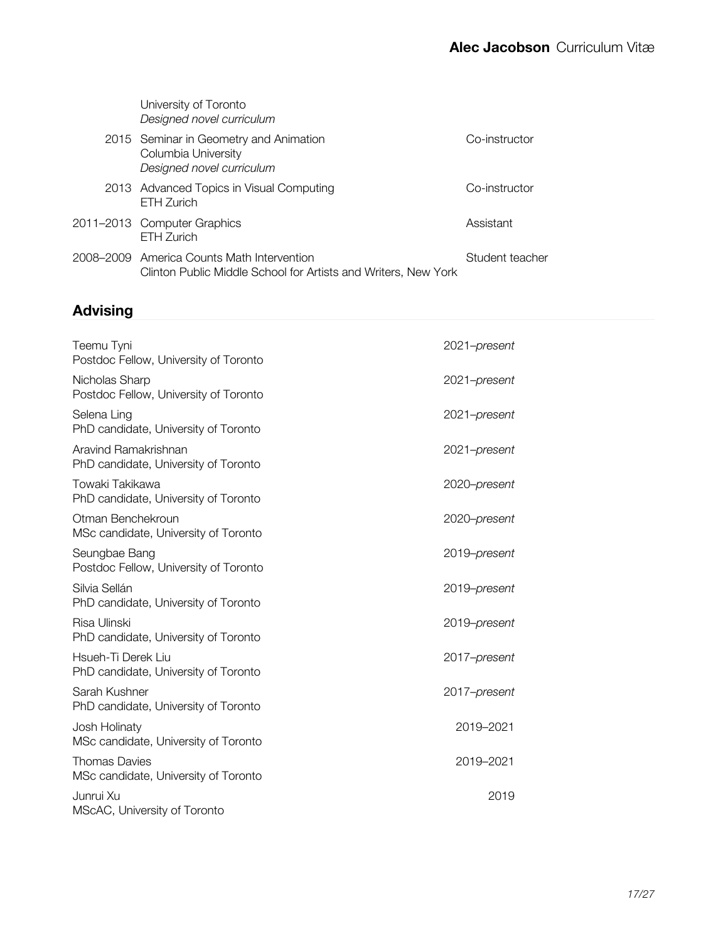| University of Toronto<br>Designed novel curriculum                                                           |                 |
|--------------------------------------------------------------------------------------------------------------|-----------------|
| 2015 Seminar in Geometry and Animation<br>Columbia University<br>Designed novel curriculum                   | Co-instructor   |
| 2013 Advanced Topics in Visual Computing<br>FTH Zurich                                                       | Co-instructor   |
| 2011–2013 Computer Graphics<br>FTH 7urich                                                                    | Assistant       |
| 2008–2009 America Counts Math Intervention<br>Clinton Public Middle School for Artists and Writers, New York | Student teacher |

# **Advising**

| Teemu Tyni<br>Postdoc Fellow, University of Toronto          | 2021-present |  |
|--------------------------------------------------------------|--------------|--|
| Nicholas Sharp<br>Postdoc Fellow, University of Toronto      | 2021-present |  |
| Selena Ling<br>PhD candidate, University of Toronto          | 2021-present |  |
| Aravind Ramakrishnan<br>PhD candidate, University of Toronto | 2021-present |  |
| Towaki Takikawa<br>PhD candidate, University of Toronto      | 2020-present |  |
| Otman Benchekroun<br>MSc candidate, University of Toronto    | 2020-present |  |
| Seungbae Bang<br>Postdoc Fellow, University of Toronto       | 2019-present |  |
| Silvia Sellán<br>PhD candidate, University of Toronto        | 2019-present |  |
| Risa Ulinski<br>PhD candidate, University of Toronto         | 2019-present |  |
| Hsueh-Ti Derek Liu<br>PhD candidate, University of Toronto   | 2017-present |  |
| Sarah Kushner<br>PhD candidate, University of Toronto        | 2017-present |  |
| Josh Holinaty<br>MSc candidate, University of Toronto        | 2019-2021    |  |
| <b>Thomas Davies</b><br>MSc candidate, University of Toronto | 2019-2021    |  |
| Junrui Xu<br>MScAC, University of Toronto                    | 2019         |  |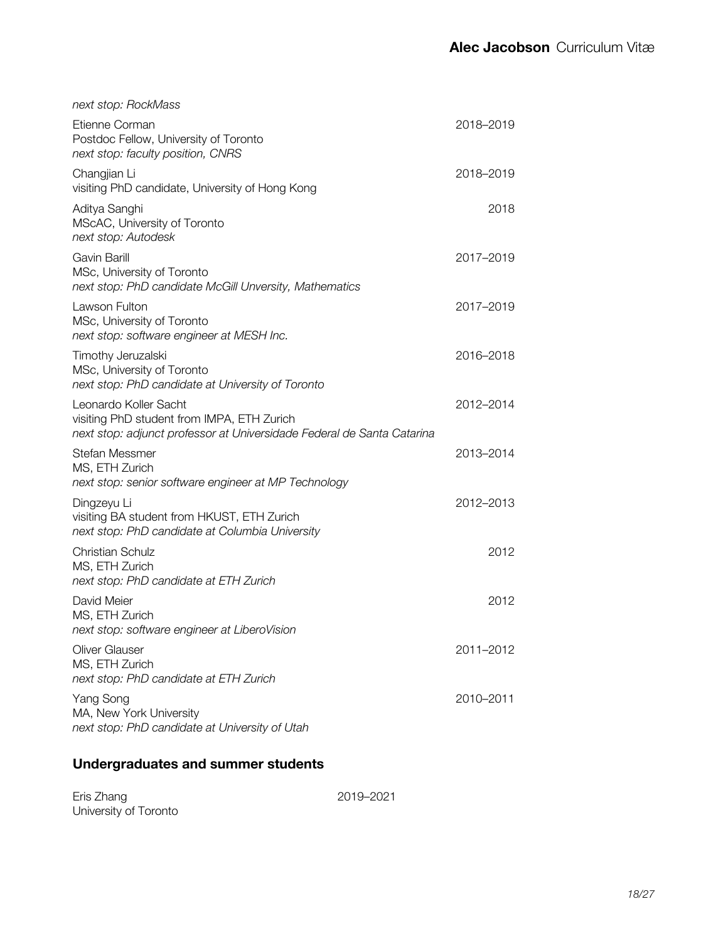| next stop: RockMass                                                                                                                           |           |
|-----------------------------------------------------------------------------------------------------------------------------------------------|-----------|
| Etienne Corman<br>Postdoc Fellow, University of Toronto<br>next stop: faculty position, CNRS                                                  | 2018-2019 |
| Changjian Li<br>visiting PhD candidate, University of Hong Kong                                                                               | 2018-2019 |
| Aditya Sanghi<br>MScAC, University of Toronto<br>next stop: Autodesk                                                                          | 2018      |
| Gavin Barill<br>MSc, University of Toronto<br>next stop: PhD candidate McGill Unversity, Mathematics                                          | 2017-2019 |
| Lawson Fulton<br>MSc, University of Toronto<br>next stop: software engineer at MESH Inc.                                                      | 2017-2019 |
| Timothy Jeruzalski<br>MSc, University of Toronto<br>next stop: PhD candidate at University of Toronto                                         | 2016-2018 |
| Leonardo Koller Sacht<br>visiting PhD student from IMPA, ETH Zurich<br>next stop: adjunct professor at Universidade Federal de Santa Catarina | 2012-2014 |
| <b>Stefan Messmer</b><br>MS, ETH Zurich<br>next stop: senior software engineer at MP Technology                                               | 2013-2014 |
| Dingzeyu Li<br>visiting BA student from HKUST, ETH Zurich<br>next stop: PhD candidate at Columbia University                                  | 2012-2013 |
| <b>Christian Schulz</b><br>MS, ETH Zurich<br>next stop: PhD candidate at ETH Zurich                                                           | 2012      |
| David Meier<br>MS, ETH Zurich<br>next stop: software engineer at LiberoVision                                                                 | 2012      |
| <b>Oliver Glauser</b><br>MS, ETH Zurich<br>next stop: PhD candidate at ETH Zurich                                                             | 2011-2012 |
| Yang Song<br>MA, New York University<br>next stop: PhD candidate at University of Utah                                                        | 2010-2011 |

## **Undergraduates and summer students**

| Eris Zhang            |  |
|-----------------------|--|
| University of Toronto |  |

2019–2021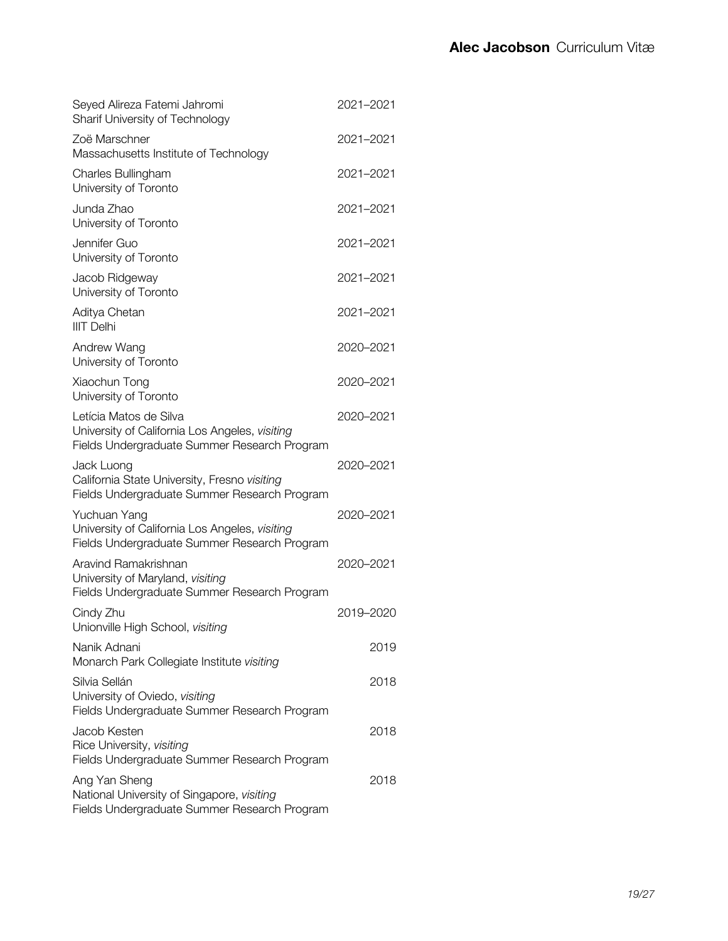| Seyed Alireza Fatemi Jahromi<br><b>Sharif University of Technology</b>                                                   | 2021-2021 |
|--------------------------------------------------------------------------------------------------------------------------|-----------|
| Zoë Marschner<br>Massachusetts Institute of Technology                                                                   | 2021-2021 |
| Charles Bullingham<br>University of Toronto                                                                              | 2021-2021 |
| Junda Zhao<br>University of Toronto                                                                                      | 2021-2021 |
| Jennifer Guo<br>University of Toronto                                                                                    | 2021-2021 |
| Jacob Ridgeway<br>University of Toronto                                                                                  | 2021-2021 |
| Aditya Chetan<br><b>IIIT Delhi</b>                                                                                       | 2021-2021 |
| Andrew Wang<br>University of Toronto                                                                                     | 2020-2021 |
| Xiaochun Tong<br>University of Toronto                                                                                   | 2020-2021 |
| Letícia Matos de Silva<br>University of California Los Angeles, visiting<br>Fields Undergraduate Summer Research Program | 2020-2021 |
| Jack Luong<br>California State University, Fresno visiting<br>Fields Undergraduate Summer Research Program               | 2020-2021 |
| Yuchuan Yang<br>University of California Los Angeles, visiting<br>Fields Undergraduate Summer Research Program           | 2020-2021 |
| Aravind Ramakrishnan<br>University of Maryland, visiting<br>Fields Undergraduate Summer Research Program                 | 2020-2021 |
| Cindy Zhu<br>Unionville High School, visiting                                                                            | 2019-2020 |
| Nanik Adnani<br>Monarch Park Collegiate Institute visiting                                                               | 2019      |
| Silvia Sellán<br>University of Oviedo, visiting<br>Fields Undergraduate Summer Research Program                          | 2018      |
| Jacob Kesten<br>Rice University, visiting<br>Fields Undergraduate Summer Research Program                                | 2018      |
| Ang Yan Sheng<br>National University of Singapore, visiting<br>Fields Undergraduate Summer Research Program              | 2018      |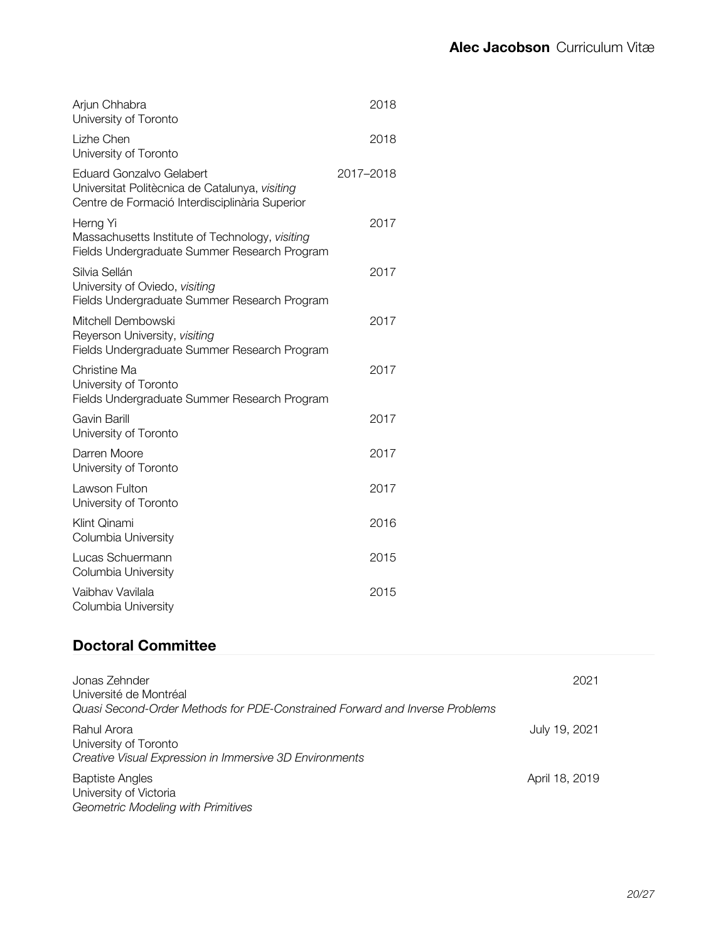| 2018      |
|-----------|
| 2018      |
| 2017-2018 |
| 2017      |
| 2017      |
| 2017      |
| 2017      |
| 2017      |
| 2017      |
| 2017      |
| 2016      |
| 2015      |
| 2015      |
|           |

## **Doctoral Committee**

| Jonas Zehnder<br>Université de Montréal<br>Quasi Second-Order Methods for PDE-Constrained Forward and Inverse Problems | 2021           |
|------------------------------------------------------------------------------------------------------------------------|----------------|
| Rahul Arora<br>University of Toronto<br>Creative Visual Expression in Immersive 3D Environments                        | July 19, 2021  |
| <b>Baptiste Angles</b><br>University of Victoria<br>Geometric Modeling with Primitives                                 | April 18, 2019 |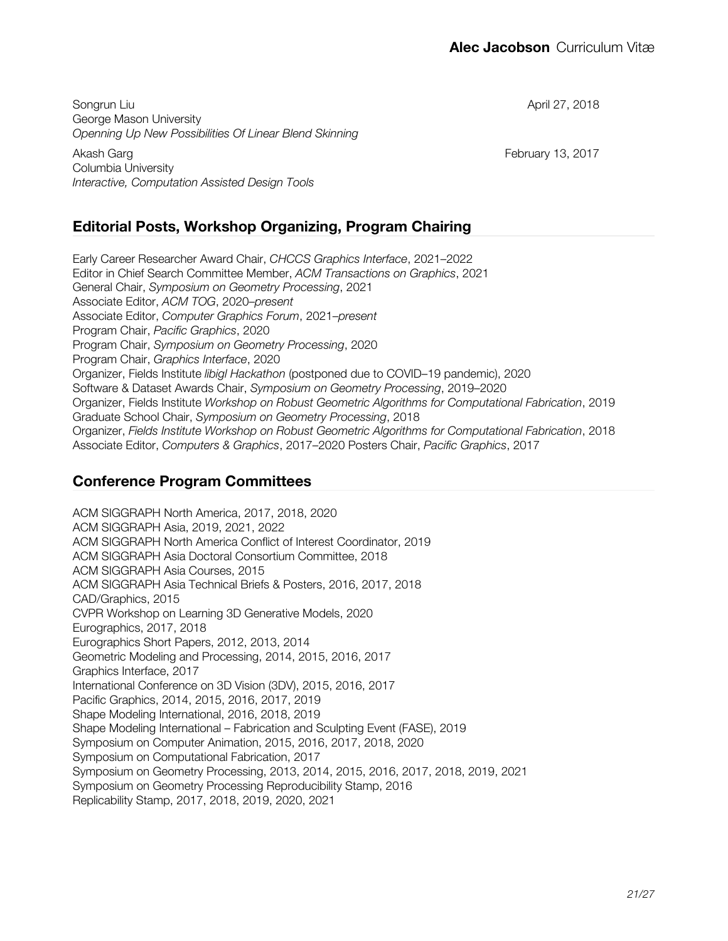Songrun Liu George Mason University *Openning Up New Possibilities Of Linear Blend Skinning*

Akash Garg Columbia University *Interactive, Computation Assisted Design Tools* April 27, 2018

February 13, 2017

## **Editorial Posts, Workshop Organizing, Program Chairing**

Early Career Researcher Award Chair, *CHCCS Graphics Interface*, 2021–2022 Editor in Chief Search Committee Member, *ACM Transactions on Graphics*, 2021 General Chair, *Symposium on Geometry Processing*, 2021 Associate Editor, *ACM TOG*, 2020–*present* Associate Editor, *Computer Graphics Forum*, 2021–*present* Program Chair, *Pacific Graphics*, 2020 Program Chair, *Symposium on Geometry Processing*, 2020 Program Chair, *Graphics Interface*, 2020 Organizer, Fields Institute *libigl Hackathon* (postponed due to COVID–19 pandemic), 2020 Software & Dataset Awards Chair, *Symposium on Geometry Processing*, 2019–2020 Organizer, Fields Institute *Workshop on Robust Geometric Algorithms for Computational Fabrication*, 2019 Graduate School Chair, *Symposium on Geometry Processing*, 2018 Organizer, *Fields Institute Workshop on Robust Geometric Algorithms for Computational Fabrication*, 2018 Associate Editor, *Computers & Graphics*, 2017–2020 Posters Chair, *Pacific Graphics*, 2017

### **Conference Program Committees**

ACM SIGGRAPH North America, 2017, 2018, 2020 ACM SIGGRAPH Asia, 2019, 2021, 2022 ACM SIGGRAPH North America Conflict of Interest Coordinator, 2019 ACM SIGGRAPH Asia Doctoral Consortium Committee, 2018 ACM SIGGRAPH Asia Courses, 2015 ACM SIGGRAPH Asia Technical Briefs & Posters, 2016, 2017, 2018 CAD/Graphics, 2015 CVPR Workshop on Learning 3D Generative Models, 2020 Eurographics, 2017, 2018 Eurographics Short Papers, 2012, 2013, 2014 Geometric Modeling and Processing, 2014, 2015, 2016, 2017 Graphics Interface, 2017 International Conference on 3D Vision (3DV), 2015, 2016, 2017 Pacific Graphics, 2014, 2015, 2016, 2017, 2019 Shape Modeling International, 2016, 2018, 2019 Shape Modeling International – Fabrication and Sculpting Event (FASE), 2019 Symposium on Computer Animation, 2015, 2016, 2017, 2018, 2020 Symposium on Computational Fabrication, 2017 Symposium on Geometry Processing, 2013, 2014, 2015, 2016, 2017, 2018, 2019, 2021 Symposium on Geometry Processing Reproducibility Stamp, 2016 Replicability Stamp, 2017, 2018, 2019, 2020, 2021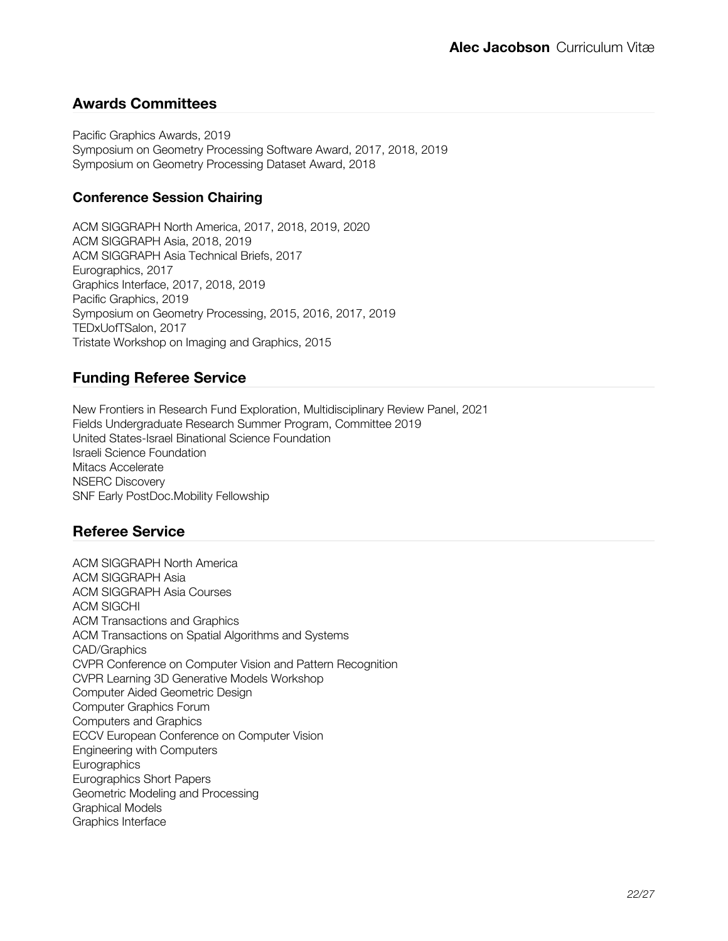### **Awards Committees**

Pacific Graphics Awards, 2019 Symposium on Geometry Processing Software Award, 2017, 2018, 2019 Symposium on Geometry Processing Dataset Award, 2018

### **Conference Session Chairing**

ACM SIGGRAPH North America, 2017, 2018, 2019, 2020 ACM SIGGRAPH Asia, 2018, 2019 ACM SIGGRAPH Asia Technical Briefs, 2017 Eurographics, 2017 Graphics Interface, 2017, 2018, 2019 Pacific Graphics, 2019 Symposium on Geometry Processing, 2015, 2016, 2017, 2019 TEDxUofTSalon, 2017 Tristate Workshop on Imaging and Graphics, 2015

### **Funding Referee Service**

New Frontiers in Research Fund Exploration, Multidisciplinary Review Panel, 2021 Fields Undergraduate Research Summer Program, Committee 2019 United States-Israel Binational Science Foundation Israeli Science Foundation Mitacs Accelerate NSERC Discovery SNF Early PostDoc.Mobility Fellowship

### **Referee Service**

ACM SIGGRAPH North America ACM SIGGRAPH Asia ACM SIGGRAPH Asia Courses ACM SIGCHI ACM Transactions and Graphics ACM Transactions on Spatial Algorithms and Systems CAD/Graphics CVPR Conference on Computer Vision and Pattern Recognition CVPR Learning 3D Generative Models Workshop Computer Aided Geometric Design Computer Graphics Forum Computers and Graphics ECCV European Conference on Computer Vision Engineering with Computers **Eurographics** Eurographics Short Papers Geometric Modeling and Processing Graphical Models Graphics Interface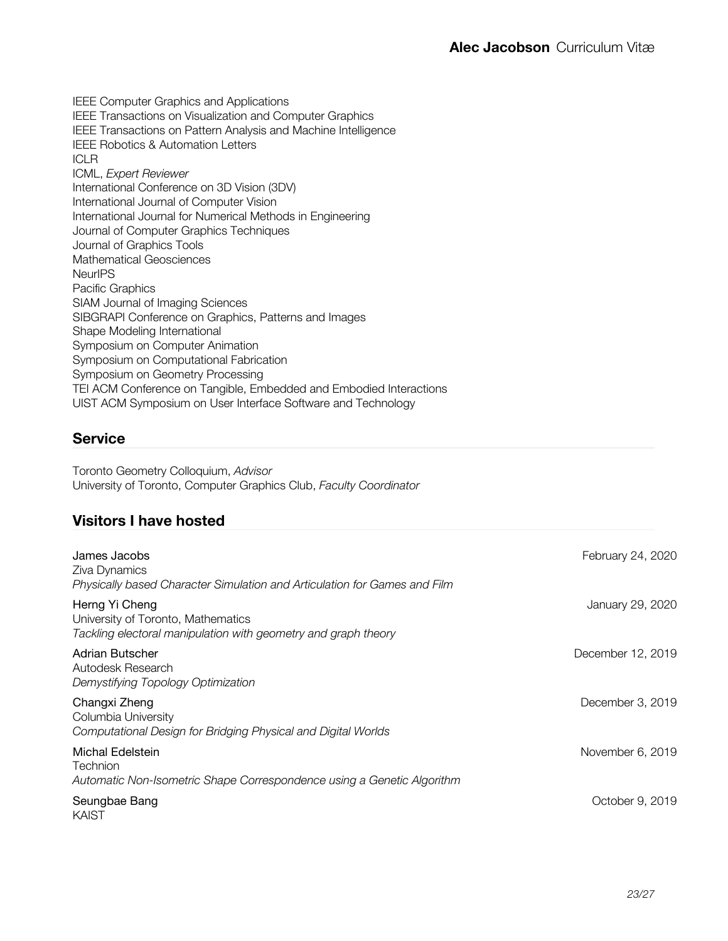IEEE Computer Graphics and Applications IEEE Transactions on Visualization and Computer Graphics IEEE Transactions on Pattern Analysis and Machine Intelligence IEEE Robotics & Automation Letters ICLR ICML, *Expert Reviewer* International Conference on 3D Vision (3DV) International Journal of Computer Vision International Journal for Numerical Methods in Engineering Journal of Computer Graphics Techniques Journal of Graphics Tools Mathematical Geosciences **NeurIPS** Pacific Graphics SIAM Journal of Imaging Sciences SIBGRAPI Conference on Graphics, Patterns and Images Shape Modeling International Symposium on Computer Animation Symposium on Computational Fabrication Symposium on Geometry Processing TEI ACM Conference on Tangible, Embedded and Embodied Interactions UIST ACM Symposium on User Interface Software and Technology

### **Service**

Toronto Geometry Colloquium, *Advisor* University of Toronto, Computer Graphics Club, *Faculty Coordinator*

## **Visitors I have hosted**

| James Jacobs<br>Ziva Dynamics<br>Physically based Character Simulation and Articulation for Games and Film             | February 24, 2020 |
|------------------------------------------------------------------------------------------------------------------------|-------------------|
| Herng Yi Cheng<br>University of Toronto, Mathematics<br>Tackling electoral manipulation with geometry and graph theory | January 29, 2020  |
| Adrian Butscher<br>Autodesk Research<br>Demystifying Topology Optimization                                             | December 12, 2019 |
| Changxi Zheng<br>Columbia University<br>Computational Design for Bridging Physical and Digital Worlds                  | December 3, 2019  |
| Michal Edelstein<br>Technion<br>Automatic Non-Isometric Shape Correspondence using a Genetic Algorithm                 | November 6, 2019  |
| Seungbae Bang<br>KAIST                                                                                                 | October 9, 2019   |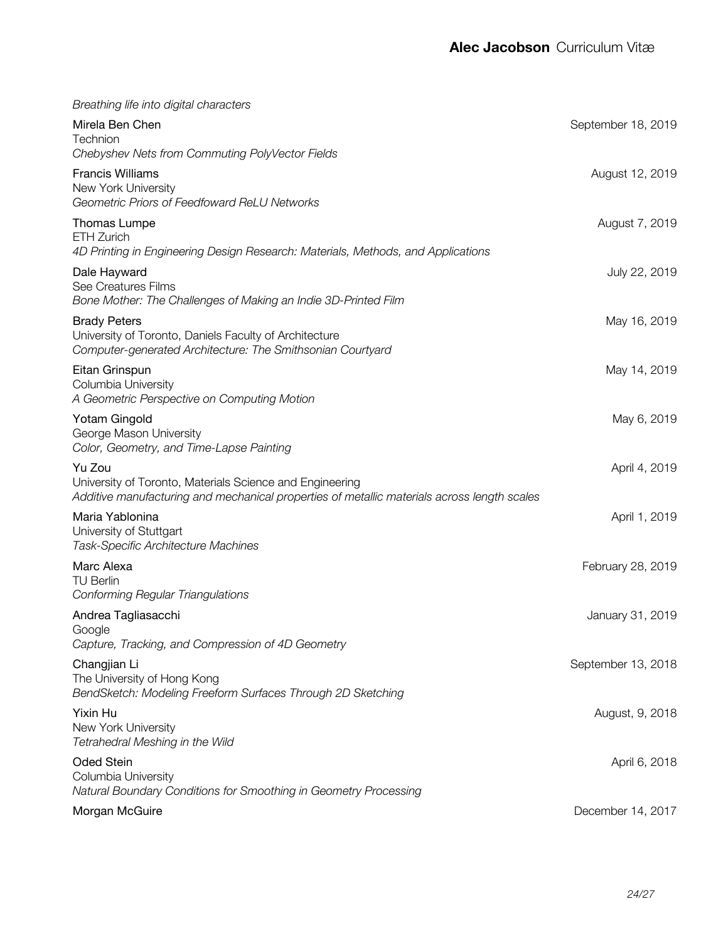| Breathing life into digital characters                                                                                                                            |                    |
|-------------------------------------------------------------------------------------------------------------------------------------------------------------------|--------------------|
| Mirela Ben Chen<br>Technion                                                                                                                                       | September 18, 2019 |
| Chebyshev Nets from Commuting PolyVector Fields                                                                                                                   |                    |
| <b>Francis Williams</b><br>New York University<br>Geometric Priors of Feedfoward ReLU Networks                                                                    | August 12, 2019    |
| Thomas Lumpe<br>ETH Zurich<br>4D Printing in Engineering Design Research: Materials, Methods, and Applications                                                    | August 7, 2019     |
| Dale Hayward<br>See Creatures Films<br>Bone Mother: The Challenges of Making an Indie 3D-Printed Film                                                             | July 22, 2019      |
| <b>Brady Peters</b><br>University of Toronto, Daniels Faculty of Architecture<br>Computer-generated Architecture: The Smithsonian Courtyard                       | May 16, 2019       |
| Eitan Grinspun<br>Columbia University<br>A Geometric Perspective on Computing Motion                                                                              | May 14, 2019       |
| Yotam Gingold<br>George Mason University<br>Color, Geometry, and Time-Lapse Painting                                                                              | May 6, 2019        |
| Yu Zou<br>University of Toronto, Materials Science and Engineering<br>Additive manufacturing and mechanical properties of metallic materials across length scales | April 4, 2019      |
| Maria Yablonina<br>University of Stuttgart<br>Task-Specific Architecture Machines                                                                                 | April 1, 2019      |
| Marc Alexa<br><b>TU Berlin</b><br><b>Conforming Regular Triangulations</b>                                                                                        | February 28, 2019  |
| Andrea Tagliasacchi<br>Google<br>Capture, Tracking, and Compression of 4D Geometry                                                                                | January 31, 2019   |
| Changjian Li<br>The University of Hong Kong<br>BendSketch: Modeling Freeform Surfaces Through 2D Sketching                                                        | September 13, 2018 |
| Yixin Hu<br>New York University<br>Tetrahedral Meshing in the Wild                                                                                                | August, 9, 2018    |
| <b>Oded Stein</b><br>Columbia University<br>Natural Boundary Conditions for Smoothing in Geometry Processing                                                      | April 6, 2018      |
| Morgan McGuire                                                                                                                                                    | December 14, 2017  |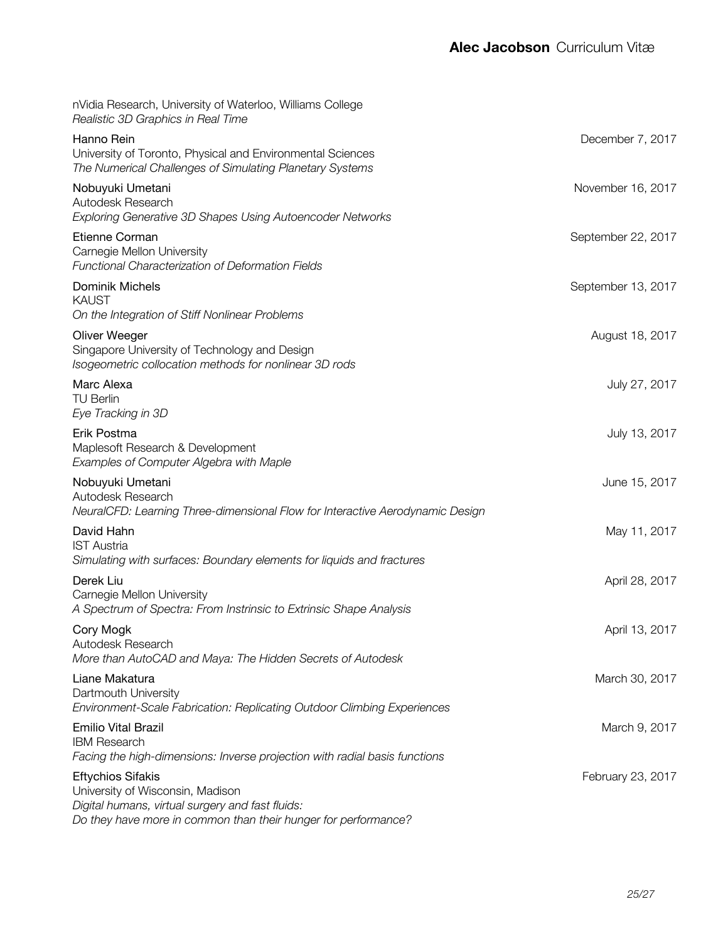| nVidia Research, University of Waterloo, Williams College<br>Realistic 3D Graphics in Real Time                                                                                    |                    |
|------------------------------------------------------------------------------------------------------------------------------------------------------------------------------------|--------------------|
| Hanno Rein<br>University of Toronto, Physical and Environmental Sciences<br>The Numerical Challenges of Simulating Planetary Systems                                               | December 7, 2017   |
| Nobuyuki Umetani<br>Autodesk Research<br>Exploring Generative 3D Shapes Using Autoencoder Networks                                                                                 | November 16, 2017  |
| Etienne Corman<br>Carnegie Mellon University<br>Functional Characterization of Deformation Fields                                                                                  | September 22, 2017 |
| Dominik Michels<br><b>KAUST</b><br>On the Integration of Stiff Nonlinear Problems                                                                                                  | September 13, 2017 |
| Oliver Weeger<br>Singapore University of Technology and Design<br>Isogeometric collocation methods for nonlinear 3D rods                                                           | August 18, 2017    |
| Marc Alexa<br><b>TU Berlin</b><br>Eye Tracking in 3D                                                                                                                               | July 27, 2017      |
| Erik Postma<br>Maplesoft Research & Development<br>Examples of Computer Algebra with Maple                                                                                         | July 13, 2017      |
| Nobuyuki Umetani<br>Autodesk Research<br>NeuralCFD: Learning Three-dimensional Flow for Interactive Aerodynamic Design                                                             | June 15, 2017      |
| David Hahn<br><b>IST Austria</b><br>Simulating with surfaces: Boundary elements for liquids and fractures                                                                          | May 11, 2017       |
| Derek Liu<br>Carnegie Mellon University<br>A Spectrum of Spectra: From Instrinsic to Extrinsic Shape Analysis                                                                      | April 28, 2017     |
| Cory Mogk<br>Autodesk Research<br>More than AutoCAD and Maya: The Hidden Secrets of Autodesk                                                                                       | April 13, 2017     |
| Liane Makatura<br>Dartmouth University<br>Environment-Scale Fabrication: Replicating Outdoor Climbing Experiences                                                                  | March 30, 2017     |
| <b>Emilio Vital Brazil</b><br><b>IBM Research</b><br>Facing the high-dimensions: Inverse projection with radial basis functions                                                    | March 9, 2017      |
| <b>Eftychios Sifakis</b><br>University of Wisconsin, Madison<br>Digital humans, virtual surgery and fast fluids:<br>Do they have more in common than their hunger for performance? | February 23, 2017  |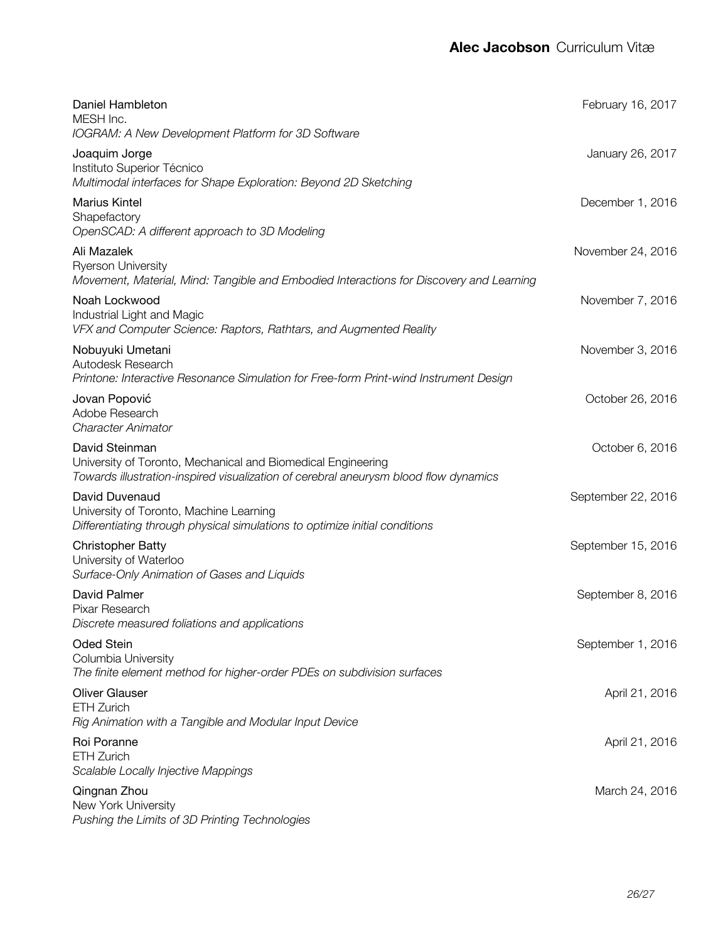| Daniel Hambleton<br>MESH Inc.<br>IOGRAM: A New Development Platform for 3D Software                                                                                    | February 16, 2017  |
|------------------------------------------------------------------------------------------------------------------------------------------------------------------------|--------------------|
| Joaquim Jorge<br>Instituto Superior Técnico<br>Multimodal interfaces for Shape Exploration: Beyond 2D Sketching                                                        | January 26, 2017   |
| <b>Marius Kintel</b><br>Shapefactory<br>OpenSCAD: A different approach to 3D Modeling                                                                                  | December 1, 2016   |
| Ali Mazalek<br><b>Ryerson University</b><br>Movement, Material, Mind: Tangible and Embodied Interactions for Discovery and Learning                                    | November 24, 2016  |
| Noah Lockwood<br>Industrial Light and Magic<br>VFX and Computer Science: Raptors, Rathtars, and Augmented Reality                                                      | November 7, 2016   |
| Nobuyuki Umetani<br>Autodesk Research<br>Printone: Interactive Resonance Simulation for Free-form Print-wind Instrument Design                                         | November 3, 2016   |
| Jovan Popović<br>Adobe Research<br><b>Character Animator</b>                                                                                                           | October 26, 2016   |
| David Steinman<br>University of Toronto, Mechanical and Biomedical Engineering<br>Towards illustration-inspired visualization of cerebral aneurysm blood flow dynamics | October 6, 2016    |
| David Duvenaud<br>University of Toronto, Machine Learning<br>Differentiating through physical simulations to optimize initial conditions                               | September 22, 2016 |
| <b>Christopher Batty</b><br>University of Waterloo<br>Surface-Only Animation of Gases and Liquids                                                                      | September 15, 2016 |
| David Palmer<br>Pixar Research<br>Discrete measured foliations and applications                                                                                        | September 8, 2016  |
| Oded Stein<br>Columbia University<br>The finite element method for higher-order PDEs on subdivision surfaces                                                           | September 1, 2016  |
| <b>Oliver Glauser</b><br><b>ETH Zurich</b><br>Rig Animation with a Tangible and Modular Input Device                                                                   | April 21, 2016     |
| Roi Poranne<br><b>ETH Zurich</b><br>Scalable Locally Injective Mappings                                                                                                | April 21, 2016     |
| Qingnan Zhou<br>New York University<br>Pushing the Limits of 3D Printing Technologies                                                                                  | March 24, 2016     |